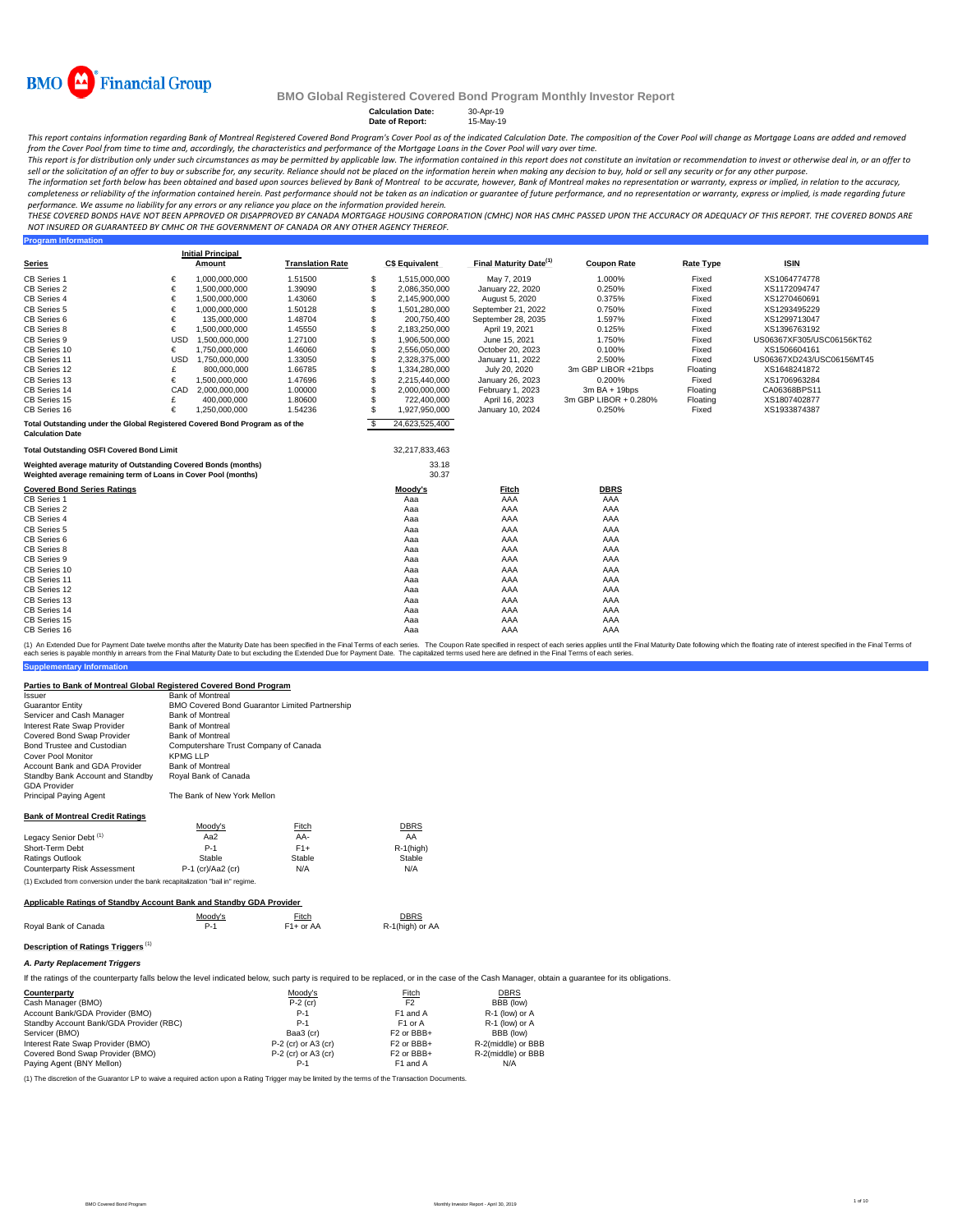

**Calculation Date:** 30-Apr-19<br> **Date of Report:** 15-May-19

**Date of Report:** 

This report contains information regarding Bank of Montreal Registered Covered Bond Program's Cover Pool s of the indicated Calculation Date. The composition of the Cover Pool will change as Mortgage Loans are added and re

.<br>This report is for distribution only under such circumstances as may be permitted by applicable law. The information contained in this report does not constitute an invitation or recommendation to invest or otherwise dea *sell or the solicitation of an offer to buy or subscribe for, any security. Reliance should not be placed on the information herein when making any decision to buy, hold or sell any security or for any other purpose.*

The information set forth below has been obtained and based upon sources believed by Bank of Montreal to be accurate, however, Bank of Montreal makes no representation or warranty, express or implied, in relation to the ac completeness or reliability of the information contained herein. Past performance should not be taken as an indication or quarantee of future performance, and no representation or warranty, express or implied, is made rega *performance. We assume no liability for any errors or any reliance you place on the information provided herein.*

*THESE COVERED BONDS HAVE NOT BEEN APPROVED OR DISAPPROVED BY CANADA MORTGAGE HOUSING CORPORATION (CMHC) NOR HAS CMHC PASSED UPON THE ACCURACY OR ADEQUACY OF THIS REPORT. THE COVERED BONDS ARE NOT INSURED OR GUARANTEED BY CMHC OR THE GOVERNMENT OF CANADA OR ANY OTHER AGENCY THEREOF.*<br>Program Information

| <b>Program Information</b>                                                   |     |                          |                         |          |                       |                                    |                       |                  |                           |
|------------------------------------------------------------------------------|-----|--------------------------|-------------------------|----------|-----------------------|------------------------------------|-----------------------|------------------|---------------------------|
|                                                                              |     | <b>Initial Principal</b> | <b>Translation Rate</b> |          | <b>C\$ Equivalent</b> | Final Maturity Date <sup>(1)</sup> | <b>Coupon Rate</b>    | <b>Rate Type</b> | <b>ISIN</b>               |
| <b>Series</b>                                                                |     | Amount                   |                         |          |                       |                                    |                       |                  |                           |
| CB Series 1                                                                  | €   | 1,000,000,000            | 1.51500                 | -S       | 1,515,000,000         | May 7, 2019                        | 1.000%                | Fixed            | XS1064774778              |
| CB Series 2                                                                  | €   | 1,500,000,000            | 1.39090                 | -S       | 2.086.350.000         | January 22, 2020                   | 0.250%                | Fixed            | XS1172094747              |
| CB Series 4                                                                  | €   | 1,500,000,000            | 1.43060                 | S        | 2,145,900,000         | August 5, 2020                     | 0.375%                | Fixed            | XS1270460691              |
| CB Series 5                                                                  | €   | 1,000,000,000            | 1.50128                 | \$.      | 1,501,280,000         | September 21, 2022                 | 0.750%                | Fixed            | XS1293495229              |
| CB Series 6                                                                  | €   | 135,000,000              | 1.48704                 | <b>S</b> | 200,750,400           | September 28, 2035                 | 1.597%                | Fixed            | XS1299713047              |
| CB Series 8                                                                  | €   | 1,500,000,000            | 1.45550                 | S        | 2,183,250,000         | April 19, 2021                     | 0.125%                | Fixed            | XS1396763192              |
| CB Series 9                                                                  | USD | 1,500,000,000            | 1.27100                 | S        | 1,906,500,000         | June 15, 2021                      | 1.750%                | Fixed            | US06367XF305/USC06156KT62 |
| CB Series 10                                                                 | €   | 1.750.000.000            | 1.46060                 | S        | 2.556.050.000         | October 20, 2023                   | 0.100%                | Fixed            | XS1506604161              |
| CB Series 11                                                                 | USD | 1,750,000,000            | 1.33050                 | \$.      | 2,328,375,000         | January 11, 2022                   | 2.500%                | Fixed            | US06367XD243/USC06156MT45 |
| CB Series 12                                                                 | £   | 800,000,000              | 1.66785                 | \$.      | 1,334,280,000         | July 20, 2020                      | 3m GBP LIBOR +21bps   | Floating         | XS1648241872              |
| CB Series 13                                                                 | €   | 1,500,000,000            | 1.47696                 | S        | 2,215,440,000         | January 26, 2023                   | 0.200%                | Fixed            | XS1706963284              |
| CB Series 14                                                                 | CAD | 2.000.000.000            | 1.00000                 | S        | 2.000.000.000         | February 1, 2023                   | $3mBA + 19bps$        | Floating         | CA06368BPS11              |
| CB Series 15                                                                 | £   | 400,000,000              | 1.80600                 | \$.      | 722,400,000           | April 16, 2023                     | 3m GBP LIBOR + 0.280% | Floating         | XS1807402877              |
| CB Series 16                                                                 | €   | 1,250,000,000            | 1.54236                 | \$.      | 1,927,950,000         | January 10, 2024                   | 0.250%                | Fixed            | XS1933874387              |
| Total Outstanding under the Global Registered Covered Bond Program as of the |     |                          |                         | <b>S</b> | 24,623,525,400        |                                    |                       |                  |                           |
| <b>Calculation Date</b>                                                      |     |                          |                         |          |                       |                                    |                       |                  |                           |
| <b>Total Outstanding OSFI Covered Bond Limit</b>                             |     |                          |                         |          | 32,217,833,463        |                                    |                       |                  |                           |
| Weighted average maturity of Outstanding Covered Bonds (months)              |     |                          |                         |          | 33.18                 |                                    |                       |                  |                           |
| Weighted average remaining term of Loans in Cover Pool (months)              |     |                          |                         |          | 30.37                 |                                    |                       |                  |                           |
| <b>Covered Bond Series Ratings</b>                                           |     |                          |                         |          | Moody's               | <b>Fitch</b>                       | <b>DBRS</b>           |                  |                           |
| CB Series 1                                                                  |     |                          |                         |          | Aaa                   | AAA                                | AAA                   |                  |                           |
| CB Series 2                                                                  |     |                          |                         |          | Aaa                   | AAA                                | AAA                   |                  |                           |
| CB Series 4                                                                  |     |                          |                         |          | Aaa                   | AAA                                | AAA                   |                  |                           |
| CB Series 5                                                                  |     |                          |                         |          | Aaa                   | AAA                                | AAA                   |                  |                           |
| CB Series 6                                                                  |     |                          |                         |          | Aaa                   | AAA                                | AAA                   |                  |                           |
| CB Series 8                                                                  |     |                          |                         |          | Aaa                   | AAA                                | AAA                   |                  |                           |
| CB Series 9                                                                  |     |                          |                         |          | Aaa                   | AAA                                | AAA                   |                  |                           |
| CB Series 10                                                                 |     |                          |                         |          | Aaa                   | AAA                                | AAA                   |                  |                           |
| CB Series 11                                                                 |     |                          |                         |          | Aaa                   | AAA                                | AAA                   |                  |                           |
| CB Series 12                                                                 |     |                          |                         |          | Aaa                   | AAA                                | AAA                   |                  |                           |
| CB Series 13                                                                 |     |                          |                         |          | Aaa                   | AAA                                | AAA                   |                  |                           |
| CB Series 14                                                                 |     |                          |                         |          | Aaa                   | AAA                                | AAA                   |                  |                           |
| CB Series 15                                                                 |     |                          |                         |          | Aaa                   | AAA                                | AAA                   |                  |                           |
| CB Series 16                                                                 |     |                          |                         |          | Aaa                   | AAA                                | AAA                   |                  |                           |

**Supplementary Information** (1) An Extended Due for Payment Date welve months after the Maturity Date has been specified in the Final Materms of each series. The Coupon Rate specified that the specified in the Final Maturity Date to least the Final T

#### **Parties to Bank of Montreal Global Registered Covered Bond Program**

| <i><b>Issuer</b></i>                   | <b>Bank of Montreal</b>                               |
|----------------------------------------|-------------------------------------------------------|
| <b>Guarantor Entity</b>                | <b>BMO Covered Bond Guarantor Limited Partnership</b> |
| Servicer and Cash Manager              | <b>Bank of Montreal</b>                               |
| Interest Rate Swap Provider            | <b>Bank of Montreal</b>                               |
| Covered Bond Swap Provider             | <b>Bank of Montreal</b>                               |
| Bond Trustee and Custodian             | Computershare Trust Company of Canada                 |
| Cover Pool Monitor                     | KPMG LLP                                              |
| Account Bank and GDA Provider          | <b>Bank of Montreal</b>                               |
| Standby Bank Account and Standby       | Royal Bank of Canada                                  |
| <b>GDA Provider</b>                    |                                                       |
| <b>Principal Paying Agent</b>          | The Bank of New York Mellon                           |
|                                        |                                                       |
| <b>Bank of Montreal Credit Ratings</b> |                                                       |

|                                   | Moody's | <b>Fitch</b> | DBRS    |
|-----------------------------------|---------|--------------|---------|
| Legacy Senior Debt <sup>(1)</sup> | Aa2     | AA-          | AA      |
| Short-Term Debt                   | $P-1$   | $F1+$        | R-1(hig |
| Ratings Outlook                   | Stable  | Stable       | Stable  |

Counterparty Risk Assessment P-1 (cr)/Aa2 (cr) N/A N/A (1) Excluded from conversion under the bank recapitalization "bail in" regime.

#### **Applicable Ratings of Standby Account Bank and Standby GDA Provider**

|                      | Moodv's | Fitch<br><u> The Communication of the Communication of the Communication of the Communication of the Communication of the Communication of the Communication of the Communication of the Communication of the Communication of the Commun</u> | DBRS            |
|----------------------|---------|-----------------------------------------------------------------------------------------------------------------------------------------------------------------------------------------------------------------------------------------------|-----------------|
| Roval Bank of Canada | $P-1$   | F <sub>1</sub> + or AA                                                                                                                                                                                                                        | R-1(high) or AA |

### **Description of Ratings Triggers** (1) *A. Party Replacement Triggers*

If the ratings of the counterparty falls below the level indicated below, such party is required to be replaced, or in the case of the Cash Manager, obtain a guarantee for its obligations.

R-1(high)<br>Stable

| Counterparty                            | Moody's               | Fitch                  | DBRS               |
|-----------------------------------------|-----------------------|------------------------|--------------------|
| Cash Manager (BMO)                      | $P-2$ (cr)            | F <sub>2</sub>         | BBB (low)          |
| Account Bank/GDA Provider (BMO)         | $P-1$                 | F1 and A               | R-1 (low) or A     |
| Standby Account Bank/GDA Provider (RBC) | $P-1$                 | F <sub>1</sub> or A    | R-1 (low) or A     |
| Servicer (BMO)                          | Baa3 (cr)             | F <sub>2</sub> or BBB+ | BBB (low)          |
| Interest Rate Swap Provider (BMO)       | $P-2$ (cr) or A3 (cr) | F <sub>2</sub> or BBB+ | R-2(middle) or BBB |
| Covered Bond Swap Provider (BMO)        | $P-2$ (cr) or A3 (cr) | F <sub>2</sub> or BBB+ | R-2(middle) or BBB |
| Paying Agent (BNY Mellon)               | P-1                   | F1 and A               | N/A                |

(1) The discretion of the Guarantor LP to waive a required action upon a Rating Trigger may be limited by the terms of the Transaction Documents.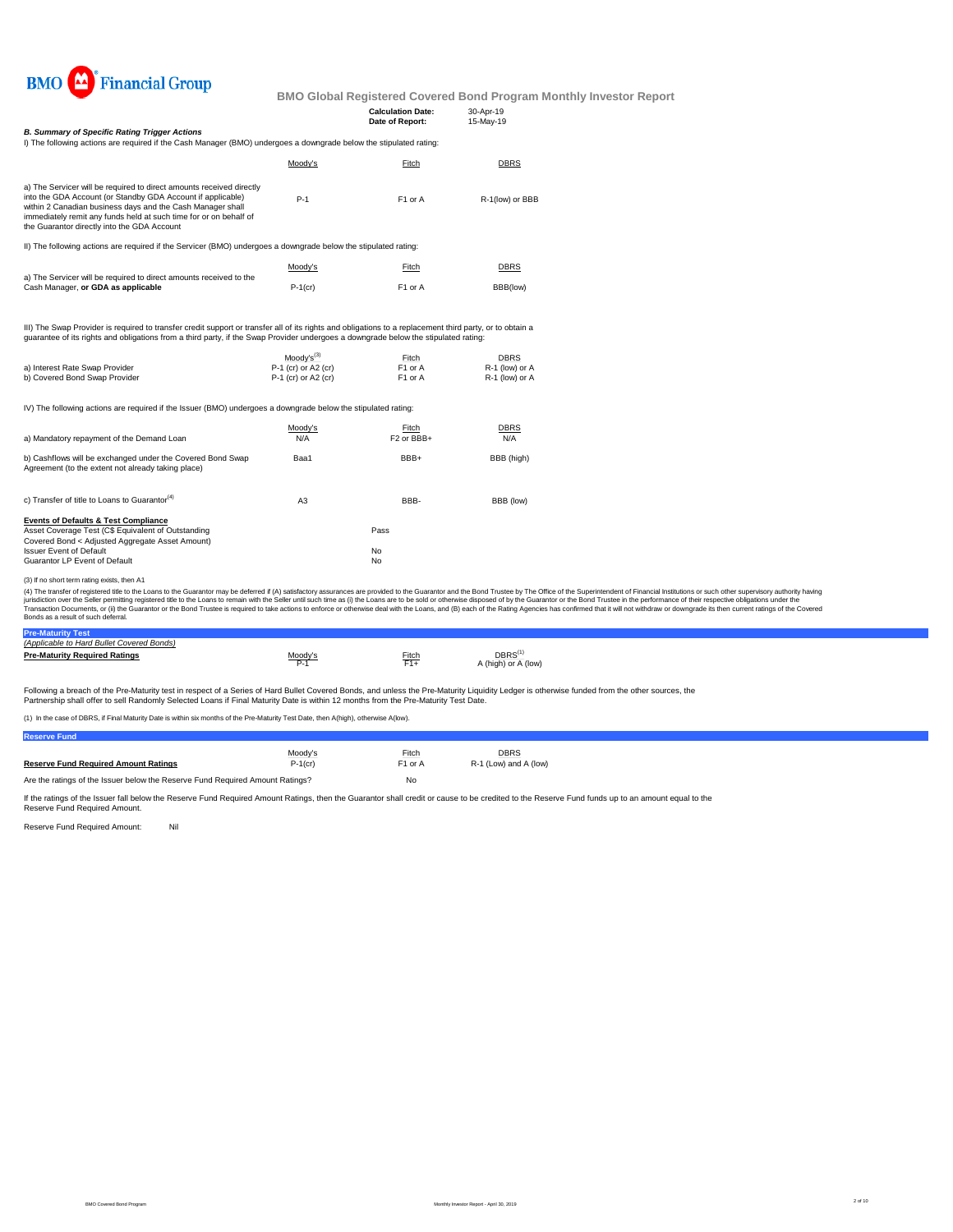

|                                               | <b>Calculation Date:</b> | 30-Apr-19 |
|-----------------------------------------------|--------------------------|-----------|
|                                               | Date of Report:          | 15-May-19 |
| 3. Summary of Specific Rating Trigger Actions |                          |           |

*B. Summary of Specific Rating Trigger Actions*<br>I) The following actions are required if the Cash Manager (BMO) undergoes a downgrade below the stipulated rating: Moody's Fitch DBRS P-1 F1 or A R-1(low) or BBB Moody's Fitch DBRS P-1(cr) F1 or A BBB(low)  $\frac{\text{Mody's}^{(3)}}{\text{P-1 (cr) or A2 (cr)}}$  Fitch DBRS<br>P-1 (cr) or A2 (cr) F1 or A R-1 (low) or A a) Interest Rate Swap Provider **P-1** (cr) or A2 (cr) F1 or A R-1 (low) or A<br>
b) Covered Bond Swap Provider **P-1** (cr) or A2 (cr) F1 or A R-1 (low) or A b) Covered Bond Swap Provider IV) The following actions are required if the Issuer (BMO) undergoes a downgrade below the stipulated rating: Moody's Eitch DBRS a) Mandatory repayment of the Demand Loan N/A F2 or BBB+  $\overline{NA}$  F2 or BBB+ N/A Baa1 BBB+ BBB (high) a) The Servicer will be required to direct amounts received directly into the GDA Account (or Standby GDA Account if applicable) within 2 Canadian business days and the Cash Manager shall immediately remit any funds held at such time for or on behalf of the Guarantor directly into the GDA Account b) Cashflows will be exchanged under the Covered Bond Swap III) The Swap Provider is required to transter credit support or transter all of its rights and obligations to a replacement third party, or to obtain a<br>guarantee of its rights and obligations from a third party, if the Sw II) The following actions are required if the Servicer (BMO) undergoes a downgrade below the stipulated rating: a) The Servicer will be required to direct amounts received to the Cash Manager, **or GDA as applicable**

| Agreement (to the extent not already taking place).       |    |      |           |
|-----------------------------------------------------------|----|------|-----------|
| c) Transfer of title to Loans to Guarantor <sup>(4)</sup> | A3 | BBB- | BBB (low) |
| <b>Events of Defaults &amp; Test Compliance</b>           |    |      |           |
| Asset Coverage Test (C\$ Equivalent of Outstanding        |    | Pass |           |
| Covered Bond < Adiusted Aggregate Asset Amount)           |    |      |           |
| <b>Issuer Event of Default</b>                            |    | No   |           |
| Guarantor LP Event of Default                             |    | No   |           |
|                                                           |    |      |           |

#### (3) If no short term rating exists, then A1

(4) The transfer of registered title to the Loans to the Guarantor may be deferred if (A) satisfactory assurances are provided to the Guarantor and the Bond Trustee by The Office of the Superintendent of Financial Institut Bonds as a result of such deferral.

#### **Pre-Maturity Test**

**Reserve Fund**

| (Applicable to Hard Bullet Covered Bonds) |         |       |                                    |
|-------------------------------------------|---------|-------|------------------------------------|
| <b>Pre-Maturity Required Ratings</b>      | Moodv's | Fitch | <b>DBRS</b><br>A (high) or A (low) |

Following a breach of the Pre-Maturity test in respect of a Series of Hard Bullet Covered Bonds, and unless the Pre-Maturity Liquidity Ledger is otherwise funded from the other sources, the Partnership shall offer to sell Randomly Selected Loans if Final Maturity Date is within 12 months from the Pre-Maturity Test Date.

(1) In the case of DBRS, if Final Maturity Date is within six months of the Pre-Maturity Test Date, then A(high), otherwise A(low).

| ---------------                                                               |            |                     |                       |
|-------------------------------------------------------------------------------|------------|---------------------|-----------------------|
|                                                                               | Moodv's    | Fitch               | <b>DBRS</b>           |
| <b>Reserve Fund Required Amount Ratings</b>                                   | $P-1$ (cr) | F <sub>1</sub> or A | R-1 (Low) and A (low) |
| Are the ratings of the Issuer below the Reserve Fund Required Amount Ratings? |            | No                  |                       |

If the ratings of the Issuer fall below the Reserve Fund Required Amount Ratings, then the Guarantor shall credit or cause to be credited to the Reserve Fund funds up to an amount equal to the Reserve Fund Required Amount.

Reserve Fund Required Amount: Nil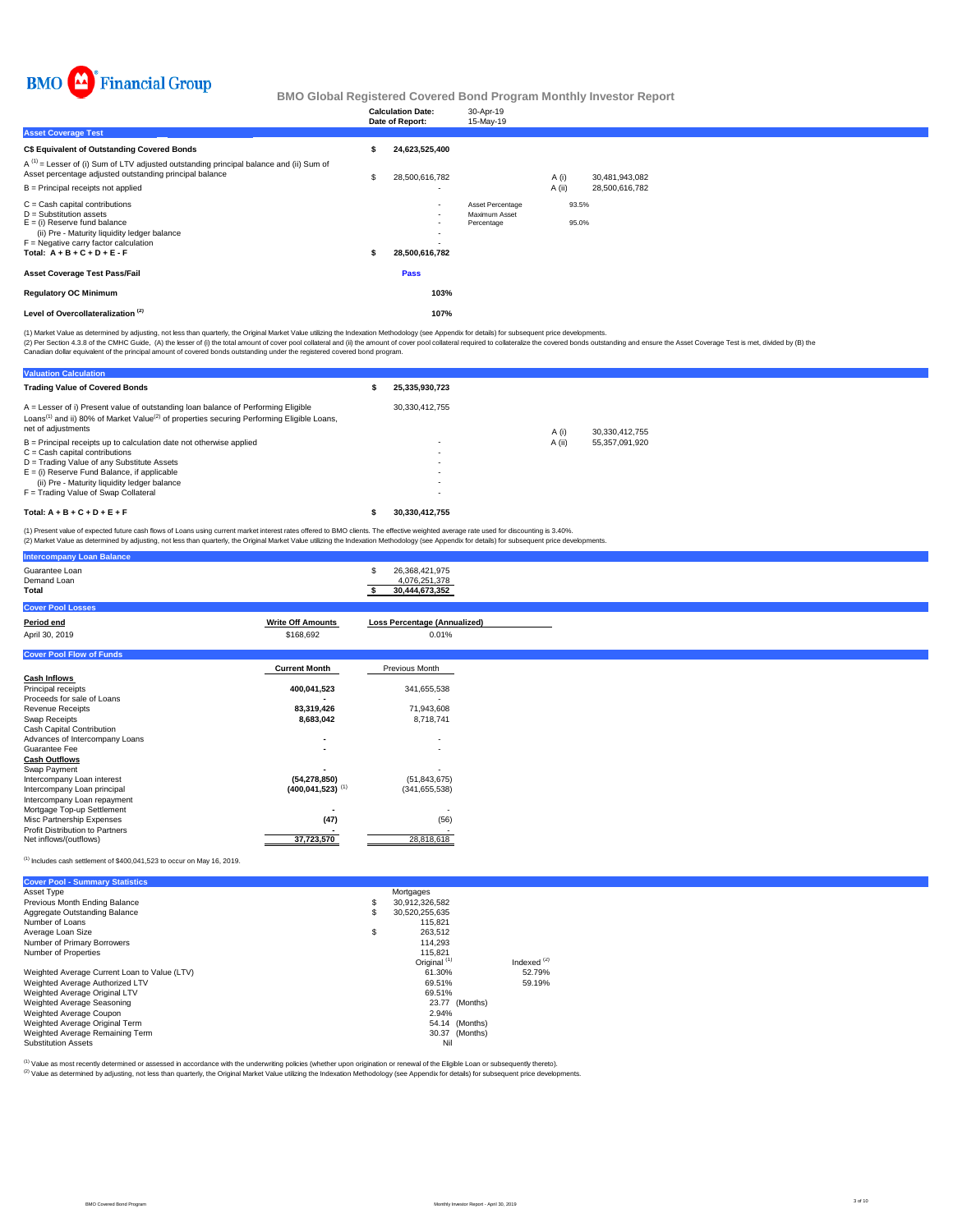

|                                                                                                                                                                                                                              | <b>Calculation Date:</b><br>Date of Report:                                      | 30-Apr-19<br>15-May-19                          |        |                |
|------------------------------------------------------------------------------------------------------------------------------------------------------------------------------------------------------------------------------|----------------------------------------------------------------------------------|-------------------------------------------------|--------|----------------|
| <b>Asset Coverage Test</b>                                                                                                                                                                                                   |                                                                                  |                                                 |        |                |
| C\$ Equivalent of Outstanding Covered Bonds                                                                                                                                                                                  | 24.623.525.400                                                                   |                                                 |        |                |
| $A^{(1)}$ = Lesser of (i) Sum of LTV adjusted outstanding principal balance and (ii) Sum of<br>Asset percentage adjusted outstanding principal balance                                                                       | 28,500,616,782                                                                   |                                                 | A (i)  | 30,481,943,082 |
| $B =$ Principal receipts not applied                                                                                                                                                                                         | $\overline{\phantom{a}}$                                                         |                                                 | A (ii) | 28,500,616,782 |
| $C =$ Cash capital contributions<br>$D =$ Substitution assets<br>$E =$ (i) Reserve fund balance<br>(ii) Pre - Maturity liquidity ledger balance<br>$F =$ Negative carry factor calculation<br>Total: $A + B + C + D + E - F$ | $\overline{\phantom{a}}$<br>٠<br>$\overline{\phantom{a}}$<br>٠<br>28,500,616,782 | Asset Percentage<br>Maximum Asset<br>Percentage |        | 93.5%<br>95.0% |
| <b>Asset Coverage Test Pass/Fail</b>                                                                                                                                                                                         | Pass                                                                             |                                                 |        |                |
| <b>Regulatory OC Minimum</b>                                                                                                                                                                                                 | 103%                                                                             |                                                 |        |                |
| Level of Overcollateralization <sup>(2)</sup>                                                                                                                                                                                | 107%                                                                             |                                                 |        |                |

(1) Market Value as determined by adjusting, not less than quarterly, the Original Market Value utilizing the Indexation Methodology (see Appendix for details) for subsequent price developments.

(2) Per Section 4.3.8 of the CMHC Guide, (A) the lesser of (i) the total amount of cover pool collateral and (ii) the amount of covered bonds departed and chase the overed bonds by (B) the Calculation of the policial exper

| <b>Valuation Calculation</b>                                                                                                                                                                                                                                                                     |                                                                                  |        |                |
|--------------------------------------------------------------------------------------------------------------------------------------------------------------------------------------------------------------------------------------------------------------------------------------------------|----------------------------------------------------------------------------------|--------|----------------|
| <b>Trading Value of Covered Bonds</b>                                                                                                                                                                                                                                                            | 25,335,930,723                                                                   |        |                |
| $A =$ Lesser of i) Present value of outstanding loan balance of Performing Eligible<br>Loans <sup>(1)</sup> and ii) 80% of Market Value <sup>(2)</sup> of properties securing Performing Eligible Loans,<br>net of adjustments                                                                   | 30.330.412.755                                                                   | A(i)   | 30.330.412.755 |
| $B =$ Principal receipts up to calculation date not otherwise applied<br>$C = Cash$ capital contributions<br>D = Trading Value of any Substitute Assets<br>$E =$ (i) Reserve Fund Balance, if applicable<br>(ii) Pre - Maturity liquidity ledger balance<br>F = Trading Value of Swap Collateral | $\overline{\phantom{a}}$<br>$\overline{\phantom{a}}$<br>$\overline{\phantom{a}}$ | A (ii) | 55.357.091.920 |
| Total: $A + B + C + D + E + F$                                                                                                                                                                                                                                                                   | 30.330.412.755                                                                   |        |                |

(1) Present value of expected future cash flows of Loans using current market interest rates offered to BMO clients. The effective weighted average rate used for discounting is 3.40%.<br>(2) Market Value as determined by adju

| <b>Intercompany Loan Balance</b>       |                          |                                                   |  |  |
|----------------------------------------|--------------------------|---------------------------------------------------|--|--|
| Guarantee Loan<br>Demand Loan<br>Total |                          | 26,368,421,975<br>4,076,251,378<br>30,444,673,352 |  |  |
| <b>Cover Pool Losses</b>               |                          |                                                   |  |  |
| Period end                             | <b>Write Off Amounts</b> | <b>Loss Percentage (Annualized)</b>               |  |  |
| April 30, 2019                         | \$168,692                | 0.01%                                             |  |  |

|                                        | $\ddotsc$                        | $\cdots$                 |
|----------------------------------------|----------------------------------|--------------------------|
| <b>Cover Pool Flow of Funds</b>        |                                  |                          |
|                                        | <b>Current Month</b>             | Previous Month           |
| <b>Cash Inflows</b>                    |                                  |                          |
| Principal receipts                     | 400,041,523                      | 341,655,538              |
| Proceeds for sale of Loans             |                                  |                          |
| <b>Revenue Receipts</b>                | 83,319,426                       | 71,943,608               |
| Swap Receipts                          | 8,683,042                        | 8,718,741                |
| Cash Capital Contribution              |                                  |                          |
| Advances of Intercompany Loans         |                                  | $\overline{\phantom{a}}$ |
| Guarantee Fee                          |                                  | $\overline{\phantom{a}}$ |
| <b>Cash Outflows</b>                   |                                  |                          |
| Swap Payment                           |                                  |                          |
| Intercompany Loan interest             | (54,278,850)                     | (51, 843, 675)           |
| Intercompany Loan principal            | $(400, 041, 523)$ <sup>(1)</sup> | (341, 655, 538)          |
| Intercompany Loan repayment            |                                  |                          |
| Mortgage Top-up Settlement             |                                  |                          |
| Misc Partnership Expenses              | (47)                             | (56)                     |
| <b>Profit Distribution to Partners</b> |                                  |                          |
| Net inflows/(outflows)                 | 37,723,570                       | 28,818,618               |

 $^{(1)}$  Includes cash settlement of \$400,041,523 to occur on May 16, 2019.

| <b>Cover Pool - Summary Statistics</b>       |    |                         |               |
|----------------------------------------------|----|-------------------------|---------------|
| Asset Type                                   |    | Mortgages               |               |
| Previous Month Ending Balance                | \$ | 30,912,326,582          |               |
| Aggregate Outstanding Balance                | S  | 30.520.255.635          |               |
| Number of Loans                              |    | 115.821                 |               |
| Average Loan Size                            | \$ | 263.512                 |               |
| Number of Primary Borrowers                  |    | 114.293                 |               |
| Number of Properties                         |    | 115.821                 |               |
|                                              |    | Original <sup>(1)</sup> | Indexed $(2)$ |
| Weighted Average Current Loan to Value (LTV) |    | 61.30%                  | 52.79%        |
| Weighted Average Authorized LTV              |    | 69.51%                  | 59.19%        |
| Weighted Average Original LTV                |    | 69.51%                  |               |
| Weighted Average Seasoning                   |    | (Months)<br>23.77       |               |
| Weighted Average Coupon                      |    | 2.94%                   |               |
| Weighted Average Original Term               |    | 54.14 (Months)          |               |
| Weighted Average Remaining Term              |    | 30.37 (Months)          |               |
| <b>Substitution Assets</b>                   |    | Nil                     |               |

<sup>(t)</sup> Value as most recently determined or assessed in accordance with the underwriting policies (whether upon origination or renewal of the Eligible Loan or subsequently thereto).<br><sup>(2)</sup> Value as determined by adjusting, n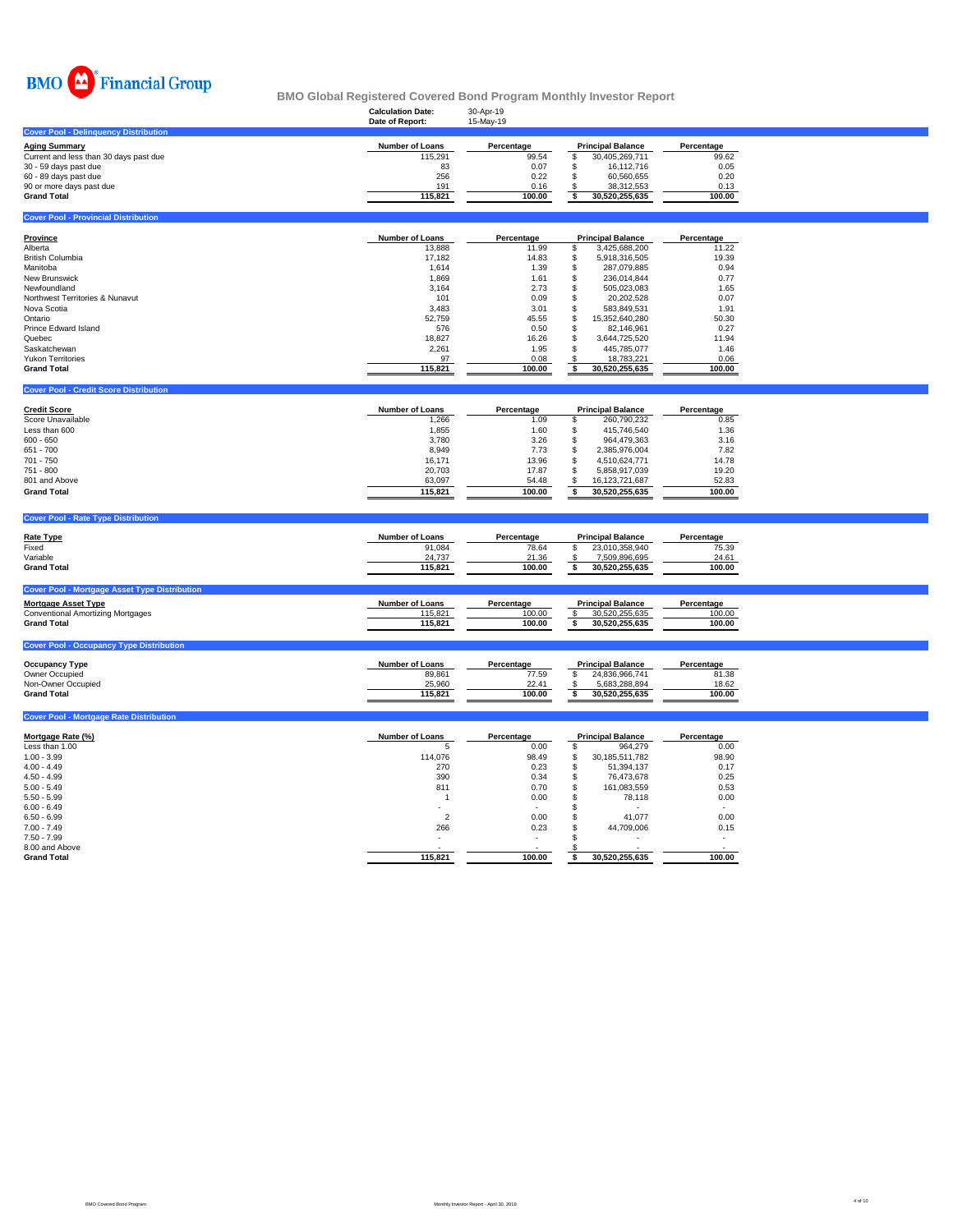

| $\cdots$<br><b>THURSDAY OF ACH</b><br>BMO Global Registered Covered Bond Program Monthly Investor Report                                                                                                                                                     |                                                                                                                                     |                                                                                                                          |                                                                                                                                                                                                                                                                                                                    |                                                                                                                          |  |  |  |  |  |  |  |
|--------------------------------------------------------------------------------------------------------------------------------------------------------------------------------------------------------------------------------------------------------------|-------------------------------------------------------------------------------------------------------------------------------------|--------------------------------------------------------------------------------------------------------------------------|--------------------------------------------------------------------------------------------------------------------------------------------------------------------------------------------------------------------------------------------------------------------------------------------------------------------|--------------------------------------------------------------------------------------------------------------------------|--|--|--|--|--|--|--|
|                                                                                                                                                                                                                                                              | <b>Calculation Date:</b><br>Date of Report:                                                                                         | 30-Apr-19<br>15-May-19                                                                                                   |                                                                                                                                                                                                                                                                                                                    |                                                                                                                          |  |  |  |  |  |  |  |
| <b>Cover Pool - Delinquency Distribution</b>                                                                                                                                                                                                                 |                                                                                                                                     |                                                                                                                          |                                                                                                                                                                                                                                                                                                                    |                                                                                                                          |  |  |  |  |  |  |  |
| <b>Aging Summary</b><br>Current and less than 30 days past due<br>30 - 59 days past due<br>60 - 89 days past due<br>90 or more days past due<br><b>Grand Total</b>                                                                                           | Number of Loans<br>115,291<br>83<br>256<br>191<br>115,821                                                                           | Percentage<br>99.54<br>0.07<br>0.22<br>0.16<br>100.00                                                                    | <b>Principal Balance</b><br>\$<br>30,405,269,711<br>\$<br>16,112,716<br>\$<br>60,560,655<br>\$<br>38,312,553<br>\$<br>30,520,255,635                                                                                                                                                                               | Percentage<br>99.62<br>0.05<br>0.20<br>0.13<br>100.00                                                                    |  |  |  |  |  |  |  |
| <b>Cover Pool - Provincial Distribution</b>                                                                                                                                                                                                                  |                                                                                                                                     |                                                                                                                          |                                                                                                                                                                                                                                                                                                                    |                                                                                                                          |  |  |  |  |  |  |  |
| <b>Province</b><br>Alberta<br><b>British Columbia</b><br>Manitoba<br>New Brunswick<br>Newfoundland<br>Northwest Territories & Nunavut<br>Nova Scotia<br>Ontario<br>Prince Edward Island<br>Quebec<br>Saskatchewan<br>Yukon Territories<br><b>Grand Total</b> | Number of Loans<br>13,888<br>17,182<br>1,614<br>1,869<br>3,164<br>101<br>3,483<br>52,759<br>576<br>18,827<br>2,261<br>97<br>115,821 | Percentage<br>11.99<br>14.83<br>1.39<br>1.61<br>2.73<br>0.09<br>3.01<br>45.55<br>0.50<br>16.26<br>1.95<br>0.08<br>100.00 | <b>Principal Balance</b><br>\$<br>3,425,688,200<br>\$<br>5,918,316,505<br>\$<br>287,079,885<br>\$<br>236,014,844<br>\$<br>505,023,083<br>\$<br>20,202,528<br>583,849,531<br>\$<br>\$<br>15,352,640,280<br>\$<br>82,146,961<br>\$<br>3,644,725,520<br>\$<br>445,785,077<br>\$<br>18,783,221<br>\$<br>30,520,255,635 | Percentage<br>11.22<br>19.39<br>0.94<br>0.77<br>1.65<br>0.07<br>1.91<br>50.30<br>0.27<br>11.94<br>1.46<br>0.06<br>100.00 |  |  |  |  |  |  |  |
| <b>Cover Pool - Credit Score Distribution</b>                                                                                                                                                                                                                |                                                                                                                                     |                                                                                                                          |                                                                                                                                                                                                                                                                                                                    |                                                                                                                          |  |  |  |  |  |  |  |
| <b>Credit Score</b><br>Score Unavailable<br>Less than 600<br>$600 - 650$<br>651 - 700<br>701 - 750<br>751 - 800<br>801 and Above<br><b>Grand Total</b>                                                                                                       | Number of Loans<br>1,266<br>1,855<br>3,780<br>8,949<br>16,171<br>20,703<br>63,097<br>115,821                                        | Percentage<br>1.09<br>1.60<br>3.26<br>7.73<br>13.96<br>17.87<br>54.48<br>100.00                                          | <b>Principal Balance</b><br>\$<br>260,790,232<br>\$<br>415,746,540<br>\$<br>964,479,363<br>S<br>2,385,976,004<br>\$<br>4,510,624,771<br>\$<br>5,858,917,039<br>\$<br>16, 123, 721, 687<br>30,520,255,635<br>\$                                                                                                     | Percentage<br>0.85<br>1.36<br>3.16<br>7.82<br>14.78<br>19.20<br>52.83<br>100.00                                          |  |  |  |  |  |  |  |
| <b>Cover Pool - Rate Type Distribution</b>                                                                                                                                                                                                                   |                                                                                                                                     |                                                                                                                          |                                                                                                                                                                                                                                                                                                                    |                                                                                                                          |  |  |  |  |  |  |  |
| <b>Rate Type</b><br>Fixed<br>Variable<br><b>Grand Total</b><br><b>Cover Pool - Mortgage Asset Type Distribution</b>                                                                                                                                          | <b>Number of Loans</b><br>91,084<br>24,737<br>115,821                                                                               | Percentage<br>78.64<br>21.36<br>100.00                                                                                   | <b>Principal Balance</b><br>\$<br>23,010,358,940<br>\$<br>7,509,896,695<br>\$<br>30,520,255,635                                                                                                                                                                                                                    | Percentage<br>75.39<br>24.61<br>100.00                                                                                   |  |  |  |  |  |  |  |
| <b>Mortgage Asset Type</b><br>Conventional Amortizing Mortgages<br><b>Grand Total</b>                                                                                                                                                                        | Number of Loans<br>115,821<br>115,821                                                                                               | Percentage<br>100.00<br>100.00                                                                                           | <b>Principal Balance</b><br>\$<br>30,520,255,635<br>\$<br>30,520,255,635                                                                                                                                                                                                                                           | Percentage<br>100.00<br>100.00                                                                                           |  |  |  |  |  |  |  |
| <b>Cover Pool - Occupancy Type Distribution</b>                                                                                                                                                                                                              |                                                                                                                                     |                                                                                                                          |                                                                                                                                                                                                                                                                                                                    |                                                                                                                          |  |  |  |  |  |  |  |
| <b>Occupancy Type</b><br>Owner Occupied<br>Non-Owner Occupied<br><b>Grand Total</b>                                                                                                                                                                          | <b>Number of Loans</b><br>89,861<br>25,960<br>115,821                                                                               | Percentage<br>77.59<br>22.41<br>100.00                                                                                   | <b>Principal Balance</b><br>24,836,966,741<br>\$<br>\$<br>5,683,288,894<br>\$<br>30,520,255,635                                                                                                                                                                                                                    | Percentage<br>81.38<br>18.62<br>100.00                                                                                   |  |  |  |  |  |  |  |
| <b>Cover Pool - Mortgage Rate Distribution</b>                                                                                                                                                                                                               |                                                                                                                                     |                                                                                                                          |                                                                                                                                                                                                                                                                                                                    |                                                                                                                          |  |  |  |  |  |  |  |
| Mortgage Rate (%)<br>Less than 1.00<br>$1.00 - 3.99$                                                                                                                                                                                                         | <b>Number of Loans</b><br>5<br>114,076                                                                                              | Percentage<br>0.00<br>98.49                                                                                              | <b>Principal Balance</b><br>\$<br>964,279<br>\$<br>30, 185, 511, 782                                                                                                                                                                                                                                               | Percentage<br>0.00<br>98.90                                                                                              |  |  |  |  |  |  |  |

| Less than 1.00     |         | 0.00   | 964,279        | 0.00   |
|--------------------|---------|--------|----------------|--------|
| $1.00 - 3.99$      | 114,076 | 98.49  | 30,185,511,782 | 98.90  |
| $4.00 - 4.49$      | 270     | 0.23   | 51,394,137     | 0.17   |
| $4.50 - 4.99$      | 390     | 0.34   | 76.473.678     | 0.25   |
| $5.00 - 5.49$      | 811     | 0.70   | 161,083,559    | 0.53   |
| $5.50 - 5.99$      |         | 0.00   | 78.118         | 0.00   |
| $6.00 - 6.49$      |         |        | ٠              |        |
| $6.50 - 6.99$      |         | 0.00   | 41.077         | 0.00   |
| $7.00 - 7.49$      | 266     | 0.23   | 44,709,006     | 0.15   |
| $7.50 - 7.99$      | -       | $\sim$ |                |        |
| 8.00 and Above     |         |        |                |        |
| <b>Grand Total</b> | 115,821 | 100.00 | 30,520,255,635 | 100.00 |
|                    |         |        |                |        |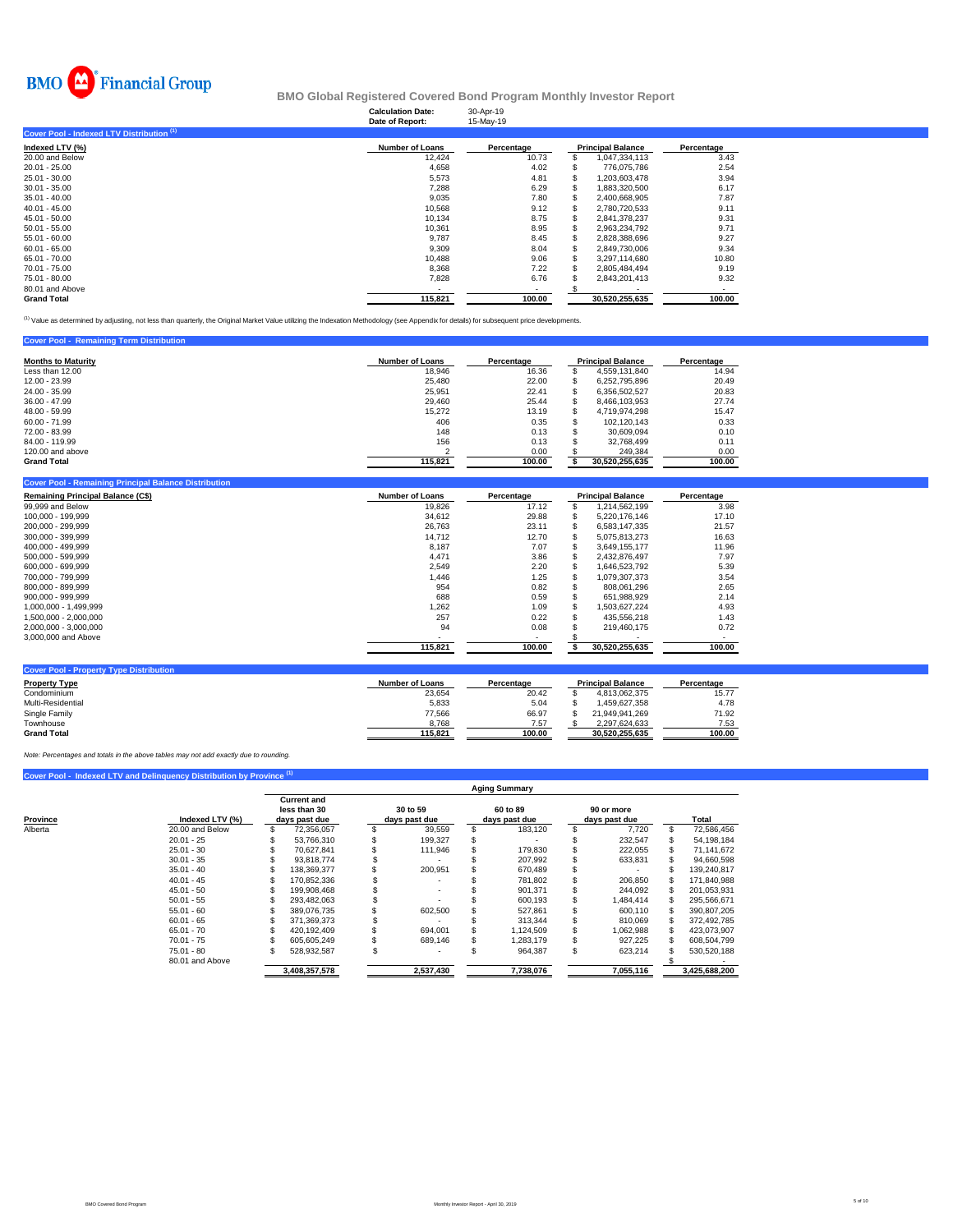

# **Calculation Date:** 30-Apr-19 **BMO Global Registered Covered Bond Program Monthly Investor Report**

| Date of Report:        | 15-May-19  |                |                          |
|------------------------|------------|----------------|--------------------------|
|                        |            |                |                          |
| <b>Number of Loans</b> | Percentage |                | Percentage               |
| 12.424                 | 10.73      | 1,047,334,113  | 3.43                     |
| 4,658                  | 4.02       | 776.075.786    | 2.54                     |
| 5,573                  | 4.81       | 1,203,603,478  | 3.94                     |
| 7,288                  | 6.29       | 1.883.320.500  | 6.17                     |
| 9,035                  | 7.80       | 2,400,668,905  | 7.87                     |
| 10,568                 | 9.12       | 2,780,720,533  | 9.11                     |
| 10,134                 | 8.75       | 2,841,378,237  | 9.31                     |
| 10,361                 | 8.95       | 2.963.234.792  | 9.71                     |
| 9,787                  | 8.45       | 2.828.388.696  | 9.27                     |
| 9,309                  | 8.04       | 2,849,730,006  | 9.34                     |
| 10.488                 | 9.06       | 3.297.114.680  | 10.80                    |
| 8,368                  | 7.22       | 2.805.484.494  | 9.19                     |
| 7,828                  | 6.76       | 2,843,201,413  | 9.32                     |
|                        |            |                |                          |
| 115.821                | 100.00     | 30.520.255.635 | 100.00                   |
|                        |            |                | <b>Principal Balance</b> |

<sup>(1)</sup> Value as determined by adjusting, not less than quarterly, the Original Market Value utilizing the Indexation Methodology (see Appendix for details) for subsequent price developments.

#### **Cover Pool - Remaining Term Distribution**

| <b>Months to Maturity</b> | <b>Number of Loans</b> | Percentage |   | <b>Principal Balance</b> | Percentage |
|---------------------------|------------------------|------------|---|--------------------------|------------|
| Less than 12.00           | 18,946                 | 16.36      |   | 4.559.131.840            | 14.94      |
| 12.00 - 23.99             | 25,480                 | 22.00      |   | 6.252.795.896            | 20.49      |
| 24.00 - 35.99             | 25,951                 | 22.41      |   | 6.356.502.527            | 20.83      |
| $36.00 - 47.99$           | 29,460                 | 25.44      |   | 8.466.103.953            | 27.74      |
| 48.00 - 59.99             | 15.272                 | 13.19      | ъ | 4.719.974.298            | 15.47      |
| $60.00 - 71.99$           | 406                    | 0.35       | ж | 102.120.143              | 0.33       |
| 72.00 - 83.99             | 148                    | 0.13       |   | 30.609.094               | 0.10       |
| 84.00 - 119.99            | 156                    | 0.13       |   | 32.768.499               | 0.11       |
| 120,00 and above          |                        | 0.00       |   | 249.384                  | 0.00       |
| <b>Grand Total</b>        | 115,821                | 100.00     |   | 30.520.255.635           | 100.00     |

| Cover Pool - Remaining Principal Balance Distribution |                        |                          |                          |            |
|-------------------------------------------------------|------------------------|--------------------------|--------------------------|------------|
| <b>Remaining Principal Balance (C\$)</b>              | <b>Number of Loans</b> | Percentage               | <b>Principal Balance</b> | Percentage |
| 99,999 and Below                                      | 19,826                 | 17.12                    | 1,214,562,199            | 3.98       |
| 100.000 - 199.999                                     | 34.612                 | 29.88                    | 5.220.176.146            | 17.10      |
| 200.000 - 299.999                                     | 26.763                 | 23.11                    | 6,583,147,335            | 21.57      |
| 300.000 - 399.999                                     | 14,712                 | 12.70                    | 5,075,813,273            | 16.63      |
| 400.000 - 499.999                                     | 8.187                  | 7.07                     | 3.649.155.177            | 11.96      |
| 500.000 - 599.999                                     | 4,471                  | 3.86                     | 2,432,876,497            | 7.97       |
| 600.000 - 699.999                                     | 2,549                  | 2.20                     | 1,646,523,792            | 5.39       |
| 700.000 - 799.999                                     | 1.446                  | 1.25                     | 1.079.307.373            | 3.54       |
| 800.000 - 899.999                                     | 954                    | 0.82                     | 808.061.296              | 2.65       |
| 900,000 - 999,999                                     | 688                    | 0.59                     | 651,988,929              | 2.14       |
| 1.000.000 - 1.499.999                                 | 1,262                  | 1.09                     | 1.503.627.224            | 4.93       |
| 1.500.000 - 2.000.000                                 | 257                    | 0.22                     | 435.556.218              | 1.43       |
| 2,000,000 - 3,000,000                                 | 94                     | 0.08                     | 219,460,175              | 0.72       |
| 3,000,000 and Above                                   |                        | $\overline{\phantom{a}}$ |                          |            |
|                                                       | 115,821                | 100.00                   | 30,520,255,635           | 100.00     |
|                                                       |                        |                          |                          |            |
| <b>Cover Pool - Property Type Distribution</b>        |                        |                          |                          |            |

| <b>Property Type</b> | <b>Number of Loans</b> | Percentage | <b>Principal Balance</b> | Percentage |  |
|----------------------|------------------------|------------|--------------------------|------------|--|
| Condominium          | 23,654                 | 20.42      | 4.813.062.375            | 15.77      |  |
| Multi-Residential    | 5.833                  | 5.04       | 1.459.627.358            | 4.78       |  |
| Single Family        | 77,566                 | 66.97      | 21.949.941.269           | 71.92      |  |
| Townhouse            | 8.768                  | 7.57       | 2.297.624.633            | 7.53       |  |
| <b>Grand Total</b>   | 115.821                | 100.00     | 30.520.255.635           | 100.00     |  |

*Note: Percentages and totals in the above tables may not add exactly due to rounding.*

|          | Cover Pool - Indexed LTV and Delinquency Distribution by Province <sup>(1)</sup> |              |                    |          |               |               | <b>Aging Summary</b> |            |               |                  |
|----------|----------------------------------------------------------------------------------|--------------|--------------------|----------|---------------|---------------|----------------------|------------|---------------|------------------|
|          |                                                                                  |              | <b>Current and</b> |          |               |               |                      |            |               |                  |
|          |                                                                                  | less than 30 |                    | 30 to 59 |               | 60 to 89      |                      | 90 or more |               |                  |
| Province | Indexed LTV (%)                                                                  |              | days past due      |          | days past due | days past due |                      |            | days past due | Total            |
| Alberta  | 20.00 and Below                                                                  |              | 72.356.057         |          | 39.559        | \$.           | 183,120              |            | 7.720         | \$<br>72,586,456 |
|          | $20.01 - 25$                                                                     |              | 53.766.310         |          | 199.327       |               |                      |            | 232,547       | 54,198,184       |
|          | $25.01 - 30$                                                                     |              | 70.627.841         |          | 111,946       |               | 179,830              |            | 222,055       | 71,141,672       |
|          | $30.01 - 35$                                                                     |              | 93.818.774         |          |               |               | 207.992              |            | 633,831       | 94,660,598       |
|          | $35.01 - 40$                                                                     |              | 138,369,377        |          | 200,951       |               | 670,489              |            |               | 139,240,817      |
|          | $40.01 - 45$                                                                     |              | 170.852.336        |          |               |               | 781.802              |            | 206,850       | 171.840.988      |
|          | $45.01 - 50$                                                                     |              | 199.908.468        |          |               |               | 901.371              |            | 244.092       | 201.053.931      |
|          | $50.01 - 55$                                                                     |              | 293.482.063        |          |               |               | 600.193              |            | 1,484,414     | 295,566,671      |
|          | $55.01 - 60$                                                                     |              | 389.076.735        |          | 602.500       |               | 527.861              |            | 600,110       | 390,807,205      |
|          | $60.01 - 65$                                                                     |              | 371.369.373        |          |               |               | 313.344              |            | 810,069       | 372.492.785      |
|          | $65.01 - 70$                                                                     |              | 420.192.409        |          | 694.001       |               | 1,124,509            |            | 1,062,988     | 423,073,907      |
|          | $70.01 - 75$                                                                     |              | 605.605.249        |          | 689.146       |               | 1.283.179            |            | 927,225       | 608,504,799      |
|          | $75.01 - 80$                                                                     |              | 528.932.587        | я        |               |               | 964,387              |            | 623,214       | 530,520,188      |
|          | 80.01 and Above                                                                  |              |                    |          |               |               |                      |            |               |                  |
|          |                                                                                  |              | 3.408.357.578      |          | 2.537.430     |               | 7.738.076            |            | 7.055.116     | 3.425.688.200    |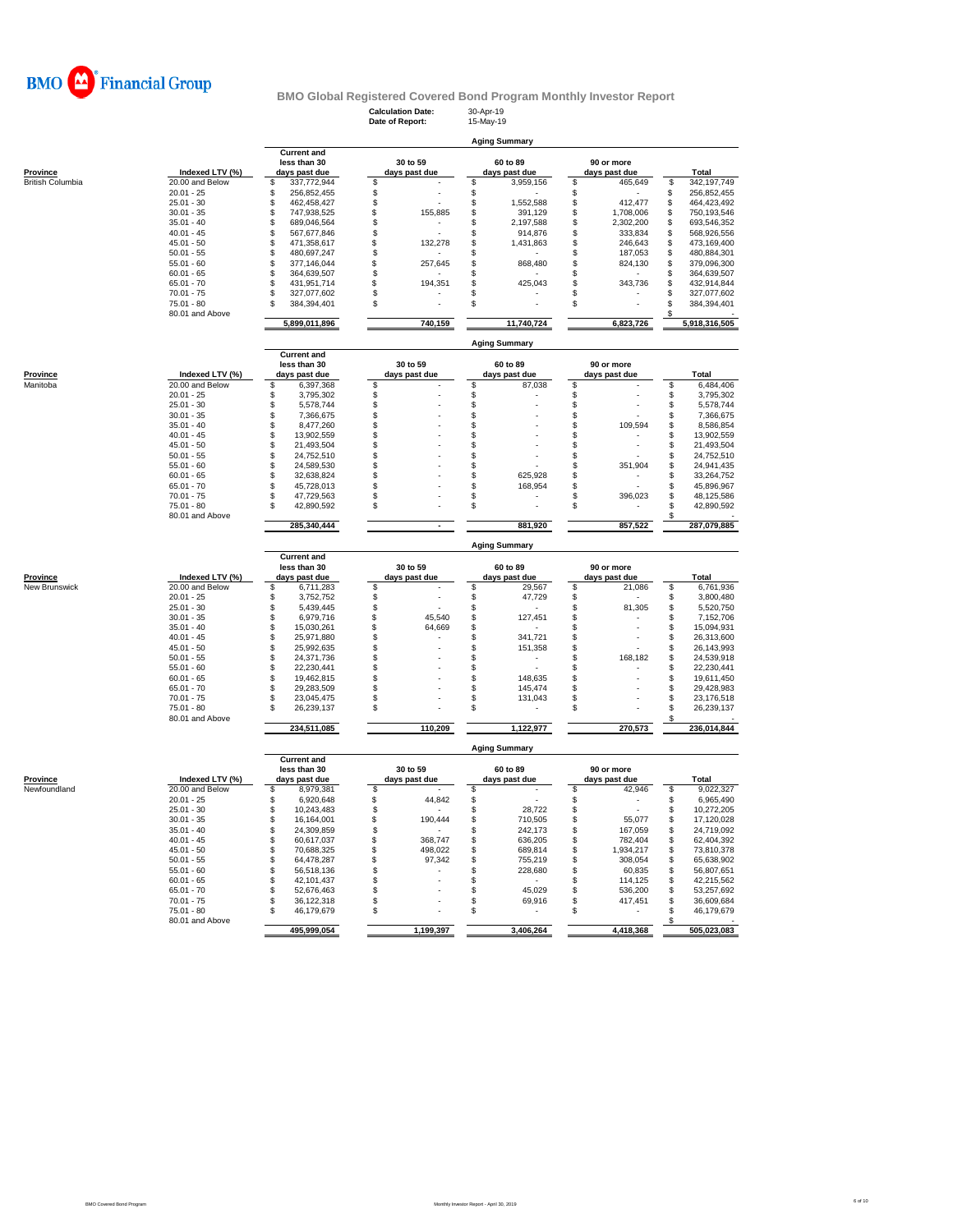

# **Calculation Date:** 30-Apr-19<br> **Date of Report:** 15-May-19 **BMO Global Registered Covered Bond Program Monthly Investor Report**

**Aging Summary**

**Date of Report:** 

**Current and**

|                         |                 |         | less than 30       | 30 to 59      |     | 60 to 89             |     | 90 or more    |     |               |
|-------------------------|-----------------|---------|--------------------|---------------|-----|----------------------|-----|---------------|-----|---------------|
| Province                | Indexed LTV (%) |         | days past due      | days past due |     | days past due        |     | days past due |     | <b>Total</b>  |
| <b>British Columbia</b> | 20,00 and Below | \$      | 337,772,944        | \$            | S   | 3,959,156            | S   | 465,649       | \$  | 342,197,749   |
|                         | $20.01 - 25$    | \$      | 256,852,455        | \$            | \$  |                      | \$  |               | \$  | 256,852,455   |
|                         | $25.01 - 30$    | \$      | 462,458,427        | \$            | \$  | 1,552,588            | \$  | 412,477       | \$  | 464,423,492   |
|                         | $30.01 - 35$    | \$      | 747,938,525        | \$<br>155,885 | \$  | 391,129              | \$  | 1,708,006     | \$  | 750,193,546   |
|                         | $35.01 - 40$    | \$      | 689,046,564        | \$            | \$. | 2,197,588            | \$  | 2,302,200     | \$  | 693,546,352   |
|                         | $40.01 - 45$    | \$      | 567,677,846        | \$            | S   | 914,876              | S   | 333,834       | S   | 568,926,556   |
|                         | $45.01 - 50$    | S       | 471,358,617        | \$<br>132,278 | \$  | 1,431,863            | \$  | 246,643       | \$  | 473,169,400   |
|                         | $50.01 - 55$    | \$      | 480,697,247        | \$            | S   |                      | S   | 187,053       | S   | 480,884,301   |
|                         | $55.01 - 60$    | S       | 377,146,044        | \$<br>257,645 | \$  | 868,480              | \$  | 824,130       | \$  | 379,096,300   |
|                         | $60.01 - 65$    | \$      | 364,639,507        | \$            | S   |                      | \$  |               | \$  | 364,639,507   |
|                         | $65.01 - 70$    | S       | 431,951,714        | \$            | \$  | 425,043              | S   | 343,736       | S   | 432,914,844   |
|                         |                 | S       |                    | \$<br>194,351 |     |                      |     |               | S   |               |
|                         | $70.01 - 75$    |         | 327,077,602        |               | S   |                      | S   |               |     | 327,077,602   |
|                         | $75.01 - 80$    | \$      | 384,394,401        | \$            | \$  |                      | \$  |               | S   | 384,394,401   |
|                         | 80.01 and Above |         | 5,899,011,896      | 740,159       |     | 11,740,724           |     | 6,823,726     | \$. | 5,918,316,505 |
|                         |                 |         |                    |               |     |                      |     |               |     |               |
|                         |                 |         | <b>Current and</b> |               |     | <b>Aging Summary</b> |     |               |     |               |
|                         |                 |         | less than 30       | 30 to 59      |     | 60 to 89             |     | 90 or more    |     |               |
|                         |                 |         |                    |               |     |                      |     |               |     |               |
| Province                | Indexed LTV (%) |         | days past due      | days past due |     | days past due        |     | days past due |     | Total         |
| Manitoba                | 20.00 and Below | \$      | 6,397,368          | \$            | \$  | 87,038               | \$  |               | \$  | 6,484,406     |
|                         | $20.01 - 25$    | Ŝ       | 3,795,302          | \$            | \$  |                      | \$  |               | \$  | 3,795,302     |
|                         | $25.01 - 30$    | Ŝ       | 5,578,744          | \$            | Ŝ   |                      | \$  |               | \$  | 5,578,744     |
|                         | $30.01 - 35$    | g       | 7,366,675          | \$            | \$  |                      | \$. |               | \$  | 7,366,675     |
|                         | $35.01 - 40$    | \$      | 8,477,260          | \$            | \$  |                      | S   | 109,594       | \$  | 8,586,854     |
|                         | $40.01 - 45$    | S       | 13,902,559         | \$            | \$  |                      | \$  |               | \$  | 13,902,559    |
|                         | $45.01 - 50$    | \$      | 21,493,504         | \$            | S   |                      | \$  |               | \$  | 21,493,504    |
|                         | $50.01 - 55$    | S       | 24,752,510         | \$            | S   |                      | \$  |               | \$  | 24,752,510    |
|                         | $55.01 - 60$    | \$      | 24,589,530         | \$            | \$  |                      | S   | 351,904       | \$  | 24,941,435    |
|                         | $60.01 - 65$    | S       | 32.638.824         | \$            | \$  | 625.928              | \$  |               | \$  | 33,264,752    |
|                         | $65.01 - 70$    | S       | 45,728,013         | \$            | \$  | 168,954              | S   |               | \$  | 45,896,967    |
|                         | $70.01 - 75$    | \$      | 47,729,563         | \$            | S   |                      | \$  | 396,023       | \$  | 48,125,586    |
|                         | $75.01 - 80$    | \$      | 42,890,592         | \$            | S   |                      | S   |               | \$  | 42,890,592    |
|                         | 80.01 and Above |         |                    |               |     |                      |     |               | \$  |               |
|                         |                 |         | 285,340,444        | ٠             |     | 881,920              |     | 857,522       |     | 287,079,885   |
|                         |                 |         |                    |               |     | <b>Aging Summary</b> |     |               |     |               |
|                         |                 |         | <b>Current and</b> |               |     |                      |     |               |     |               |
|                         |                 |         | less than 30       | 30 to 59      |     | 60 to 89             |     | 90 or more    |     |               |
| Province                | Indexed LTV (%) |         | days past due      | days past due |     | days past due        |     | days past due |     | Total         |
| <b>New Brunswick</b>    | 20.00 and Below | S       | 6,711,283          | \$            | \$  | 29,567               | \$  | 21,086        | \$  | 6,761,936     |
|                         | $20.01 - 25$    | \$      | 3,752,752          | \$            | \$  | 47,729               | \$  |               | \$  | 3,800,480     |
|                         | $25.01 - 30$    | \$      | 5,439,445          | \$            | S   |                      | S   | 81,305        | \$  | 5,520,750     |
|                         |                 |         |                    | \$            |     |                      | \$  |               |     |               |
|                         | $30.01 - 35$    | \$<br>S | 6,979,716          | \$<br>45,540  | \$  | 127,451              | \$  |               | \$  | 7,152,706     |
|                         | $35.01 - 40$    |         | 15,030,261         | 64,669        | S   |                      |     |               | \$  | 15,094,931    |
|                         | $40.01 - 45$    | \$      | 25,971,880         | \$            | \$  | 341,721              | \$  |               | \$  | 26,313,600    |
|                         | $45.01 - 50$    | \$      | 25,992,635         | \$            | \$  | 151,358              | \$  |               | \$  | 26,143,993    |
|                         | $50.01 - 55$    | Ŝ       | 24,371,736         | \$            | S   |                      | \$. | 168,182       | \$  | 24,539,918    |
|                         | $55.01 - 60$    | S       | 22,230,441         | \$            | Ŝ   |                      | \$  |               | \$  | 22,230,441    |
|                         | $60.01 - 65$    | S       | 19,462,815         | \$            | \$  | 148,635              | S   |               | \$  | 19,611,450    |
|                         | $65.01 - 70$    | S       | 29,283,509         | \$            | \$  | 145,474              | \$  |               | \$  | 29,428,983    |
|                         |                 |         |                    |               |     |                      |     |               |     |               |

|                 | $70.01 - 75$       |               | 327,077,602        |               |          |               |                      |               | ж | 327,077,602   |
|-----------------|--------------------|---------------|--------------------|---------------|----------|---------------|----------------------|---------------|---|---------------|
|                 | $75.01 - 80$       |               | 384.394.401        |               |          |               |                      |               |   | 384,394,401   |
|                 | 80.01 and Above    |               |                    |               |          |               |                      |               |   |               |
|                 |                    |               | 5,899,011,896      |               | 740,159  |               | 11,740,724           | 6,823,726     |   | 5,918,316,505 |
|                 |                    |               |                    |               |          |               | <b>Aging Summary</b> |               |   |               |
|                 |                    |               | <b>Current and</b> |               |          |               |                      |               |   |               |
|                 |                    |               | less than 30       |               | 30 to 59 |               | 60 to 89             | 90 or more    |   |               |
| <b>Province</b> | Indexed LTV (%)    | days past due |                    | days past due |          | days past due |                      | days past due |   | Total         |
| Manitoba        | 20.00 and Below    |               | 6,397,368          |               |          |               | 87,038               |               |   | 6,484,406     |
|                 | $20.01 - 25$       |               | 3,795,302          |               |          |               |                      |               |   | 3,795,302     |
|                 | $25.01 - 30$       |               | 5,578,744          |               |          |               |                      |               |   | 5,578,744     |
|                 | $30.01 - 35$       |               | 7,366,675          |               |          |               |                      |               |   | 7,366,675     |
|                 | $35.01 - 40$       |               | 8,477,260          |               |          |               |                      | 109,594       |   | 8,586,854     |
|                 | $40.01 - 45$       |               | 13,902,559         |               |          |               |                      |               |   | 13,902,559    |
|                 | $45.01 - 50$       |               | 21,493,504         |               |          |               |                      |               |   | 21,493,504    |
|                 | $50.01 - 55$       |               | 24,752,510         |               |          |               |                      |               |   | 24,752,510    |
|                 | $55.01 - 60$       |               | 24,589,530         |               |          |               |                      | 351,904       |   | 24,941,435    |
|                 | $60.01 - 65$       |               | 32,638,824         |               |          |               | 625,928              |               |   | 33,264,752    |
|                 | $65.01 - 70$       |               | 45,728,013         |               |          |               | 168,954              |               |   | 45,896,967    |
|                 | $70.01 - 75$       |               | 47,729,563         |               |          |               |                      | 396,023       |   | 48,125,586    |
|                 | $75.01 - 80$       |               | 42,890,592         |               |          |               |                      |               |   | 42,890,592    |
|                 | $0.0.04 \pm 0.101$ |               |                    |               |          |               |                      |               |   |               |

|                      |                 |               | <b>Current and</b> |               |          |               |           |               |         |       |             |
|----------------------|-----------------|---------------|--------------------|---------------|----------|---------------|-----------|---------------|---------|-------|-------------|
|                      |                 |               | less than 30       |               | 30 to 59 | 60 to 89      |           | 90 or more    |         |       |             |
| Province             | Indexed LTV (%) | days past due |                    | days past due |          | days past due |           | days past due |         | Total |             |
| <b>New Brunswick</b> | 20.00 and Below |               | 6,711,283          | S             | ۰        |               | 29,567    |               | 21,086  |       | 6,761,936   |
|                      | $20.01 - 25$    |               | 3.752.752          |               |          |               | 47.729    |               |         |       | 3.800.480   |
|                      | $25.01 - 30$    |               | 5.439.445          |               |          |               |           |               | 81,305  |       | 5,520,750   |
|                      | $30.01 - 35$    |               | 6,979,716          |               | 45,540   |               | 127.451   |               |         |       | 7,152,706   |
|                      | $35.01 - 40$    |               | 15.030.261         |               | 64,669   |               |           |               | ۰       |       | 15,094,931  |
|                      | $40.01 - 45$    |               | 25.971.880         |               |          |               | 341.721   |               | ۰       |       | 26.313.600  |
|                      | $45.01 - 50$    |               | 25.992.635         |               |          |               | 151,358   |               |         |       | 26.143.993  |
|                      | $50.01 - 55$    |               | 24.371.736         |               |          |               |           |               | 168.182 |       | 24,539,918  |
|                      | $55.01 - 60$    |               | 22.230.441         |               |          |               |           |               |         |       | 22.230.441  |
|                      | $60.01 - 65$    |               | 19.462.815         |               |          |               | 148,635   |               | ۰       |       | 19,611,450  |
|                      | $65.01 - 70$    |               | 29.283.509         |               |          |               | 145.474   |               |         |       | 29.428.983  |
|                      | $70.01 - 75$    |               | 23.045.475         |               |          |               | 131.043   |               | ۰       |       | 23.176.518  |
|                      | $75.01 - 80$    |               | 26,239,137         | S             | ۰        |               |           |               |         |       | 26.239.137  |
|                      | 80.01 and Above |               |                    |               |          |               |           |               |         |       |             |
|                      |                 |               | 234,511,085        |               | 110,209  |               | 1,122,977 |               | 270,573 |       | 236,014,844 |

|              |                 | <b>Aging Summary</b> |                                                     |   |                           |  |                           |  |                             |  |             |  |  |  |
|--------------|-----------------|----------------------|-----------------------------------------------------|---|---------------------------|--|---------------------------|--|-----------------------------|--|-------------|--|--|--|
| Province     | Indexed LTV (%) |                      | <b>Current and</b><br>less than 30<br>days past due |   | 30 to 59<br>days past due |  | 60 to 89<br>days past due |  | 90 or more<br>days past due |  | Total       |  |  |  |
| Newfoundland | 20.00 and Below |                      | 8.979.381                                           |   |                           |  |                           |  | 42,946                      |  | 9,022,327   |  |  |  |
|              | $20.01 - 25$    |                      | 6.920.648                                           |   | 44,842                    |  |                           |  |                             |  | 6,965,490   |  |  |  |
|              | $25.01 - 30$    |                      | 10.243.483                                          |   |                           |  | 28.722                    |  |                             |  | 10.272.205  |  |  |  |
|              | $30.01 - 35$    |                      | 16.164.001                                          |   | 190.444                   |  | 710,505                   |  | 55.077                      |  | 17,120,028  |  |  |  |
|              | $35.01 - 40$    |                      | 24,309,859                                          |   |                           |  | 242,173                   |  | 167.059                     |  | 24,719,092  |  |  |  |
|              | $40.01 - 45$    |                      | 60.617.037                                          |   | 368.747                   |  | 636,205                   |  | 782.404                     |  | 62,404,392  |  |  |  |
|              | $45.01 - 50$    |                      | 70.688.325                                          |   | 498.022                   |  | 689.814                   |  | 1.934.217                   |  | 73.810.378  |  |  |  |
|              | $50.01 - 55$    |                      | 64.478.287                                          |   | 97,342                    |  | 755,219                   |  | 308,054                     |  | 65,638,902  |  |  |  |
|              | $55.01 - 60$    |                      | 56.518.136                                          |   |                           |  | 228,680                   |  | 60.835                      |  | 56.807.651  |  |  |  |
|              | $60.01 - 65$    |                      | 42.101.437                                          |   |                           |  |                           |  | 114,125                     |  | 42,215,562  |  |  |  |
|              | $65.01 - 70$    |                      | 52.676.463                                          |   |                           |  | 45,029                    |  | 536,200                     |  | 53,257,692  |  |  |  |
|              | $70.01 - 75$    |                      | 36.122.318                                          |   |                           |  | 69,916                    |  | 417.451                     |  | 36,609,684  |  |  |  |
|              | $75.01 - 80$    |                      | 46.179.679                                          | S |                           |  |                           |  |                             |  | 46,179,679  |  |  |  |
|              | 80.01 and Above |                      |                                                     |   |                           |  |                           |  |                             |  |             |  |  |  |
|              |                 |                      | 495,999,054                                         |   | 1,199,397                 |  | 3,406,264                 |  | 4,418,368                   |  | 505,023,083 |  |  |  |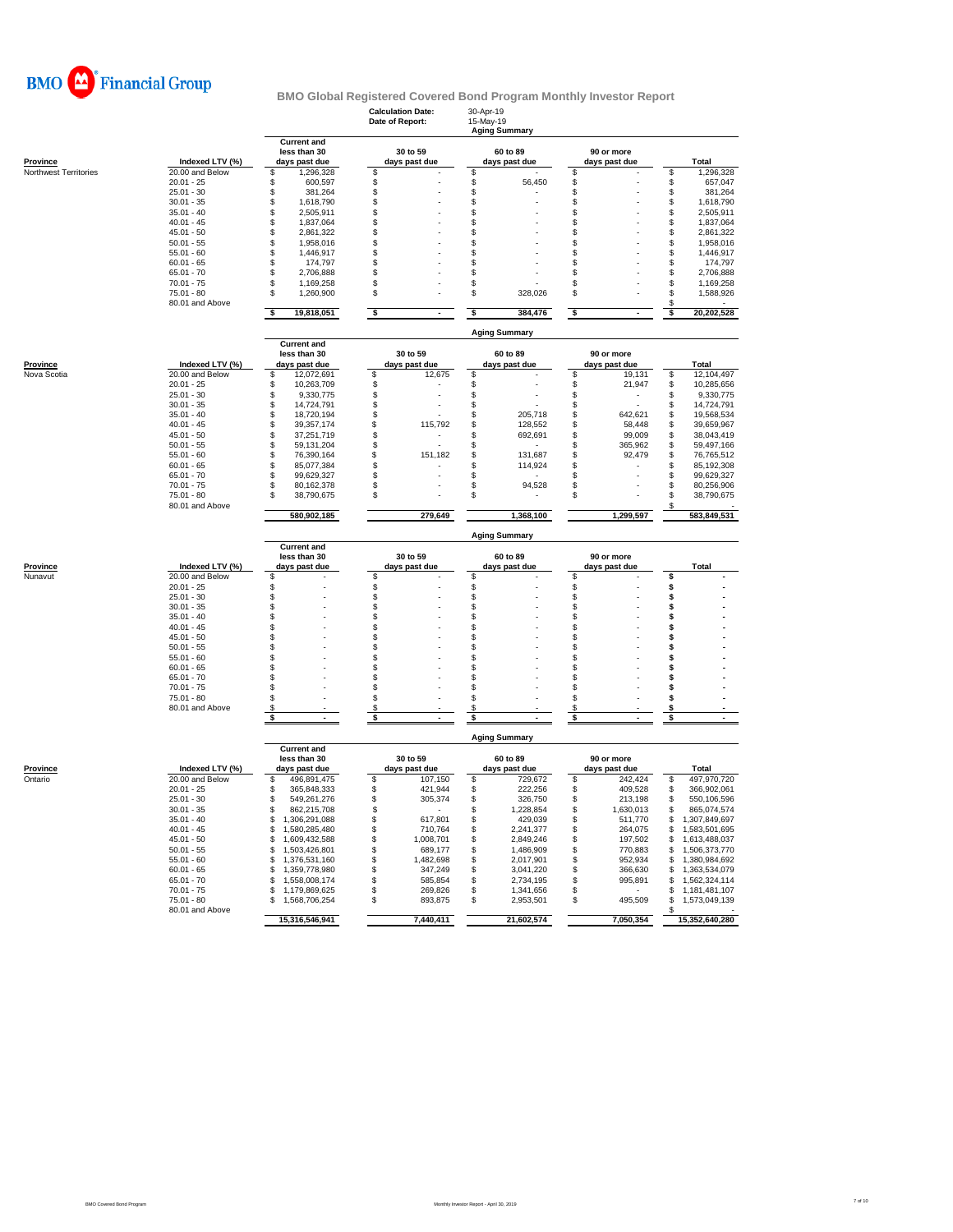

|                            |                                    |                                             | <b>Calculation Date:</b><br>Date of Report: |                           | 30-Apr-19<br>15-May-19 | <b>Aging Summary</b>      |            |                             |                 |                                 |
|----------------------------|------------------------------------|---------------------------------------------|---------------------------------------------|---------------------------|------------------------|---------------------------|------------|-----------------------------|-----------------|---------------------------------|
| <b>Province</b>            | Indexed LTV (%)                    | <b>Current and</b><br>less than 30          | 30 to 59<br>days past due                   |                           |                        | 60 to 89<br>days past due |            | 90 or more<br>days past due |                 | Total                           |
| Northwest Territories      | 20.00 and Below                    | days past due<br>\$<br>1,296,328            | \$                                          |                           | \$                     |                           | \$         |                             | \$              | 1,296,328                       |
|                            | $20.01 - 25$                       | 600,597<br>S                                | \$                                          |                           | \$                     | 56,450                    | \$         |                             | \$              | 657,047                         |
|                            | $25.01 - 30$                       | \$<br>381,264                               | \$                                          |                           | \$                     |                           | \$         |                             | \$              | 381,264                         |
|                            | $30.01 - 35$                       | S<br>1,618,790                              | \$                                          |                           | \$                     |                           | \$         |                             | \$              | 1,618,790                       |
|                            | $35.01 - 40$                       | S<br>2,505,911                              | \$                                          |                           | \$                     |                           | S          |                             | \$              | 2,505,911                       |
|                            | $40.01 - 45$                       | S<br>1,837,064                              | \$                                          |                           | \$                     |                           | \$         |                             | \$              | 1,837,064                       |
|                            | $45.01 - 50$                       | \$<br>2,861,322                             | \$                                          |                           | \$                     |                           | \$         |                             | \$              | 2,861,322                       |
|                            | $50.01 - 55$                       | S<br>1,958,016                              | \$                                          |                           | \$                     |                           | S          |                             | \$              | 1,958,016                       |
|                            | $55.01 - 60$                       | 1,446,917<br>S                              | \$                                          |                           | \$                     |                           | \$         |                             | \$              | 1,446,917                       |
|                            | $60.01 - 65$                       | S<br>174,797                                | \$                                          |                           | \$                     |                           | S          |                             | \$              | 174,797                         |
|                            | $65.01 - 70$                       | \$<br>2,706,888<br>\$                       | \$                                          |                           | \$                     |                           | S          |                             | \$              | 2,706,888                       |
|                            | $70.01 - 75$                       | 1,169,258                                   | \$                                          |                           | \$<br>\$               |                           | \$         |                             | \$              | 1,169,258                       |
|                            | 75.01 - 80<br>80.01 and Above      | \$<br>1,260,900                             | \$                                          |                           |                        | 328,026                   | \$         |                             | \$<br>\$        | 1,588,926                       |
|                            |                                    | \$<br>19,818,051                            | \$                                          | $\sim$                    | \$                     | 384,476                   | \$         |                             | \$              | 20,202,528                      |
|                            |                                    | <b>Aging Summary</b><br><b>Current and</b>  |                                             |                           |                        |                           |            |                             |                 |                                 |
|                            |                                    | less than 30                                | 30 to 59                                    |                           |                        | 60 to 89                  | 90 or more |                             |                 |                                 |
| Province                   | Indexed LTV (%)                    | days past due                               |                                             | days past due             |                        | days past due             |            | days past due               |                 | <b>Total</b>                    |
| Nova Scotia                | 20.00 and Below                    | \$<br>12,072,691                            | \$                                          | 12,675                    | \$                     |                           | S          | 19,131                      | \$              | 12,104,497                      |
|                            | $20.01 - 25$                       | S<br>10,263,709                             | \$                                          |                           | \$                     |                           | \$         | 21,947                      | \$              | 10,285,656                      |
|                            | $25.01 - 30$                       | \$<br>9,330,775                             | \$                                          |                           | \$                     |                           | \$         |                             | \$              | 9,330,775                       |
|                            | $30.01 - 35$                       | \$<br>14,724,791                            | \$                                          |                           | \$                     |                           | \$         |                             | \$              | 14,724,791                      |
|                            | $35.01 - 40$                       | \$<br>18,720,194                            | \$                                          |                           | \$                     | 205,718                   | \$         | 642,621                     | \$              | 19,568,534                      |
|                            | $40.01 - 45$                       | \$<br>39, 357, 174                          | \$                                          | 115,792                   | \$                     | 128,552                   | \$         | 58,448                      | \$              | 39,659,967                      |
|                            | $45.01 - 50$                       | \$<br>37,251,719                            | \$                                          |                           | \$                     | 692,691                   | \$         | 99,009                      | \$              | 38,043,419                      |
|                            | $50.01 - 55$                       | S<br>59, 131, 204                           | \$                                          | ä,                        | \$                     |                           | \$         | 365,962                     | \$              | 59,497,166                      |
|                            | $55.01 - 60$                       | \$<br>76,390,164                            | \$                                          | 151,182                   | \$                     | 131,687                   | \$         | 92,479                      | \$              | 76,765,512                      |
|                            | $60.01 - 65$                       | S<br>85,077,384                             | \$                                          |                           | \$                     | 114,924                   | \$         |                             | \$              | 85,192,308                      |
|                            | $65.01 - 70$                       | S<br>99,629,327                             | \$                                          |                           | \$                     |                           | \$         |                             | \$              | 99,629,327                      |
|                            | $70.01 - 75$                       | 80,162,378<br>S                             | \$                                          |                           | \$                     | 94,528                    | \$         |                             | \$              | 80,256,906                      |
|                            | 75.01 - 80                         | 38,790,675<br>S                             | \$                                          |                           | \$                     |                           | \$         |                             | \$              | 38,790,675                      |
|                            | 80.01 and Above                    | 580,902,185                                 |                                             | 279,649                   |                        | 1,368,100                 |            | 1,299,597                   |                 | 583,849,531                     |
|                            |                                    |                                             |                                             |                           |                        |                           |            |                             |                 |                                 |
|                            |                                    | <b>Current and</b>                          |                                             |                           |                        | <b>Aging Summary</b>      |            |                             |                 |                                 |
|                            |                                    | less than 30                                |                                             | 30 to 59<br>days past due |                        | 60 to 89                  |            | 90 or more                  |                 | Total                           |
| <b>Province</b><br>Nunavut | Indexed LTV (%)<br>20.00 and Below | days past due<br>S                          | \$                                          |                           | \$                     | days past due             | \$         | days past due               | \$              |                                 |
|                            | $20.01 - 25$                       | \$                                          |                                             |                           | \$                     |                           | \$         |                             | \$              |                                 |
|                            | $25.01 - 30$                       | \$                                          | န<br>န                                      |                           | \$                     |                           | Ś          |                             | \$              |                                 |
|                            | $30.01 - 35$                       | \$                                          | \$                                          |                           | \$                     |                           | \$         |                             | \$              |                                 |
|                            | $35.01 - 40$                       | S                                           | \$                                          |                           | \$                     |                           | S          |                             | s               |                                 |
|                            | $40.01 - 45$                       | S                                           | \$                                          |                           | \$                     |                           | S          |                             | s               |                                 |
|                            | $45.01 - 50$                       | \$                                          | \$                                          |                           | S                      |                           | S          |                             | s               |                                 |
|                            | $50.01 - 55$                       | S                                           | \$                                          |                           | \$                     |                           | \$         |                             | \$              |                                 |
|                            |                                    |                                             |                                             |                           |                        |                           |            |                             |                 |                                 |
|                            | $55.01 - 60$                       | S                                           | \$                                          |                           | \$                     |                           | \$         |                             | s               |                                 |
|                            | $60.01 - 65$                       | S                                           | \$                                          |                           | \$                     |                           | \$         |                             | s               |                                 |
|                            | $65.01 - 70$                       | S                                           | \$                                          |                           | \$                     |                           | \$         |                             | \$              |                                 |
|                            | $70.01 - 75$                       | \$.                                         | \$                                          |                           | \$                     |                           | S          |                             | s               |                                 |
|                            | $75.01 - 80$                       | S                                           | \$                                          |                           | \$                     |                           | \$         |                             | s               |                                 |
|                            | 80.01 and Above                    | \$<br>\$<br>$\blacksquare$                  | \$<br>\$                                    | $\overline{\phantom{a}}$  | \$<br>\$               | ٠                         | \$<br>\$   | $\sim$                      | s<br>$\bar{\$}$ | $\sim$                          |
|                            |                                    |                                             |                                             |                           |                        | <b>Aging Summary</b>      |            |                             |                 |                                 |
|                            |                                    | <b>Current and</b>                          |                                             |                           |                        |                           |            |                             |                 |                                 |
|                            |                                    | less than 30                                |                                             | 30 to 59                  |                        | 60 to 89                  |            | 90 or more                  |                 |                                 |
| Province                   | Indexed LTV (%)                    | days past due                               |                                             | days past due             |                        | days past due             |            | days past due               |                 | Total                           |
| Ontario                    | 20.00 and Below                    | 496,891,475<br>\$                           | \$                                          | 107,150                   | \$                     | 729,672                   | \$         | 242.424                     | \$              | 497,970,720                     |
|                            | $20.01 - 25$                       | 365,848,333<br>\$                           | \$                                          | 421,944                   | \$                     | 222,256                   | \$         | 409,528                     | \$              | 366,902,061                     |
|                            | $25.01 - 30$                       | 549,261,276                                 |                                             | 305,374                   | S                      | 326,750                   | S          | 213,198                     | S               | 550,106,596                     |
|                            | $30.01 - 35$                       | \$<br>862,215,708                           | \$                                          | $\sim$                    | \$                     | 1,228,854                 | \$         | 1,630,013                   | \$              | 865,074,574                     |
|                            | $35.01 - 40$                       | \$1,306,291,088                             | \$                                          | 617,801                   | \$                     | 429,039                   | \$         | 511,770                     |                 | \$1,307,849,697                 |
|                            | $40.01 - 45$                       | 1,580,285,480<br>\$                         | \$                                          | 710,764                   | \$                     | 2,241,377                 | \$         | 264,075                     |                 | \$1,583,501,695                 |
|                            | $45.01 - 50$                       | 1,609,432,588<br>\$                         | \$                                          | 1,008,701                 | \$                     | 2,849,246                 | \$         | 197,502                     | \$              | 1,613,488,037                   |
|                            | $50.01 - 55$                       | 1,503,426,801<br>\$                         | \$                                          | 689,177                   | \$                     | 1,486,909                 | \$         | 770,883                     | \$              | 1,506,373,770                   |
|                            | $55.01 - 60$                       | 1,376,531,160<br>\$                         | \$                                          | 1,482,698                 | \$                     | 2,017,901                 | \$         | 952,934                     | \$              | 1,380,984,692                   |
|                            | $60.01 - 65$                       | \$<br>1,359,778,980                         | \$                                          | 347,249                   | \$                     | 3,041,220                 | \$         | 366,630                     | \$<br>£.        | 1,363,534,079                   |
|                            | $65.01 - 70$                       | S<br>1,558,008,174                          | \$                                          | 585,854                   | \$                     | 2,734,195                 | \$         | 995,891<br>$\sim$           |                 | 1,562,324,114                   |
|                            | $70.01 - 75$<br>$75.01 - 80$       | \$<br>1,179,869,625<br>1,568,706,254<br>\$. | \$                                          | 269,826                   | \$<br>\$               | 1,341,656                 | \$<br>\$   |                             | \$<br>\$        | 1,181,481,107                   |
|                            | 80.01 and Above                    | 15,316,546,941                              | \$                                          | 893,875<br>7,440,411      |                        | 2,953,501<br>21,602,574   |            | 495,509<br>7,050,354        | \$              | 1,573,049,139<br>15,352,640,280 |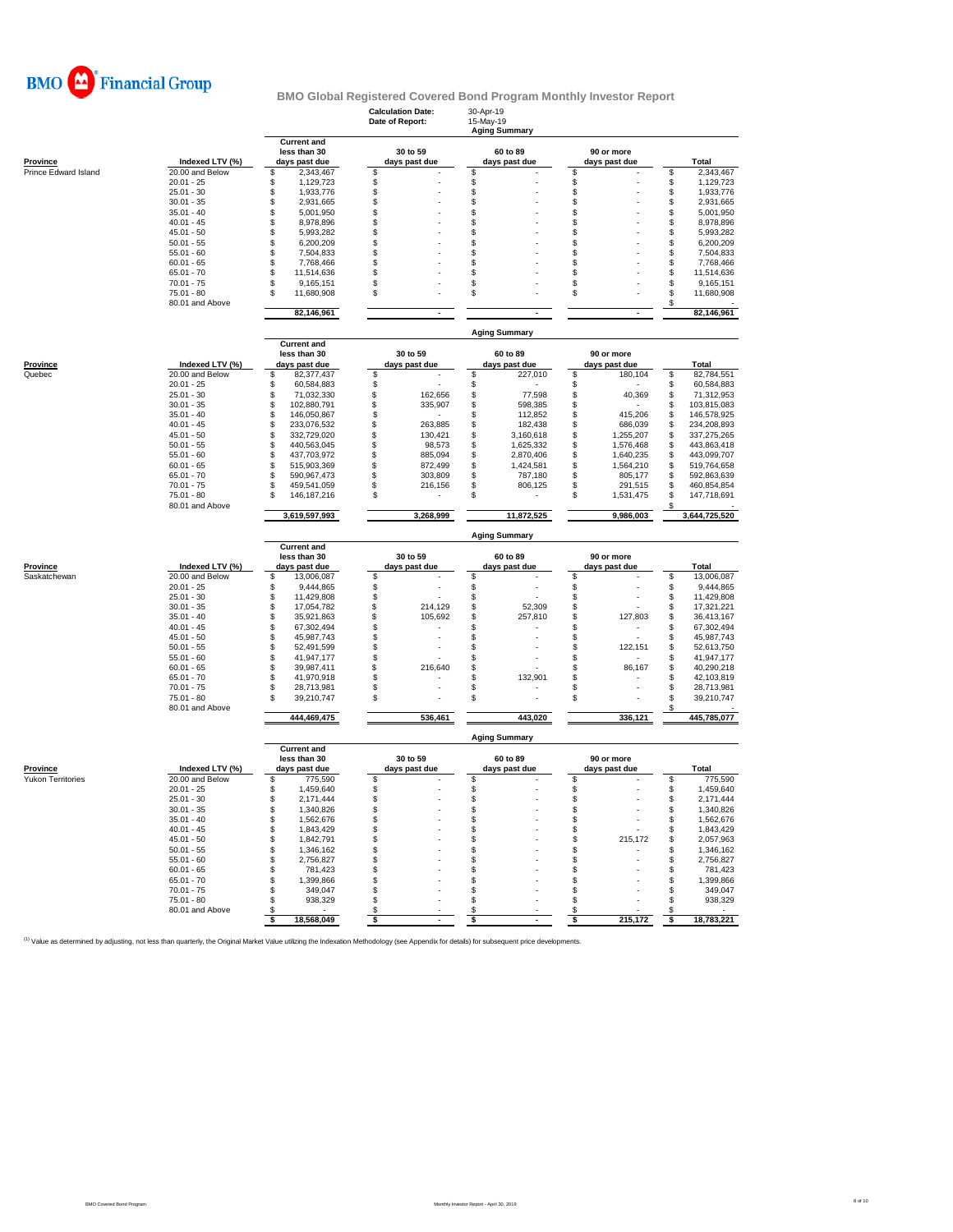

|                           |                                 |                                                     | <b>Calculation Date:</b><br>Date of Report: | 30-Apr-19<br>15-May-19<br><b>Aging Summary</b> |                              |                                        |
|---------------------------|---------------------------------|-----------------------------------------------------|---------------------------------------------|------------------------------------------------|------------------------------|----------------------------------------|
| <b>Province</b>           | Indexed LTV (%)                 | <b>Current and</b><br>less than 30<br>days past due | 30 to 59                                    | 60 to 89                                       | 90 or more<br>days past due  | <b>Total</b>                           |
| Prince Edward Island      | 20.00 and Below                 | 2,343,467<br>\$                                     | days past due<br>S                          | days past due<br>\$                            | \$                           | 2,343,467<br>\$                        |
|                           | $20.01 - 25$                    | \$<br>1,129,723                                     | \$                                          | \$                                             | \$                           | \$<br>1,129,723                        |
|                           | $25.01 - 30$                    | \$<br>1,933,776                                     | \$                                          | \$                                             | \$                           | \$<br>1,933,776                        |
|                           | $30.01 - 35$                    | \$<br>2,931,665                                     | \$                                          | \$                                             | \$                           | \$<br>2,931,665                        |
|                           | $35.01 - 40$                    | \$<br>5,001,950                                     | \$                                          | \$                                             | S                            | \$<br>5,001,950                        |
|                           | $40.01 - 45$                    | \$<br>8,978,896                                     | \$                                          | \$                                             | \$                           | \$<br>8,978,896                        |
|                           | $45.01 - 50$                    | \$<br>5,993,282<br>\$                               | \$                                          | \$                                             | \$                           | \$<br>5,993,282                        |
|                           | $50.01 - 55$<br>$55.01 - 60$    | 6,200,209<br>\$<br>7,504,833                        | \$<br>\$                                    | \$<br>\$                                       | S<br>\$                      | \$<br>6,200,209<br>\$<br>7,504,833     |
|                           | $60.01 - 65$                    | \$<br>7,768,466                                     | \$                                          | \$                                             | \$                           | \$<br>7,768,466                        |
|                           | $65.01 - 70$                    | \$<br>11,514,636                                    | \$                                          | \$                                             | S                            | \$<br>11,514,636                       |
|                           | $70.01 - 75$                    | \$<br>9,165,151                                     | \$                                          | \$                                             | \$                           | \$<br>9,165,151                        |
|                           | $75.01 - 80$<br>80.01 and Above | \$<br>11,680,908                                    | \$                                          | \$                                             | \$                           | \$<br>11,680,908<br>\$                 |
|                           |                                 | 82,146,961                                          | $\mathbf{r}$                                |                                                |                              | 82,146,961                             |
|                           |                                 |                                                     |                                             | <b>Aging Summary</b>                           |                              |                                        |
|                           |                                 | <b>Current and</b>                                  |                                             |                                                |                              |                                        |
|                           | Indexed LTV (%)                 | less than 30<br>days past due                       | 30 to 59<br>days past due                   | 60 to 89                                       | 90 or more<br>days past due  | <b>Total</b>                           |
| <b>Province</b><br>Quebec | 20.00 and Below                 | \$<br>82,377,437                                    | \$                                          | days past due<br>\$<br>227,010                 | \$<br>180,104                | \$<br>82,784,551                       |
|                           | $20.01 - 25$                    | \$<br>60,584,883                                    | \$                                          | \$                                             | \$                           | \$<br>60,584,883                       |
|                           | $25.01 - 30$                    | \$<br>71,032,330                                    | \$<br>162,656                               | \$<br>77,598                                   | \$<br>40,369                 | \$<br>71,312,953                       |
|                           | $30.01 - 35$                    | \$<br>102,880,791                                   | \$<br>335,907                               | \$<br>598,385                                  | \$                           | 103,815,083<br>\$                      |
|                           | $35.01 - 40$                    | \$<br>146,050,867                                   | \$                                          | \$<br>112,852                                  | \$<br>415,206                | \$<br>146,578,925                      |
|                           | $40.01 - 45$                    | \$<br>233,076,532                                   | \$<br>263,885                               | \$<br>182,438                                  | \$<br>686,039                | \$<br>234,208,893                      |
|                           | $45.01 - 50$                    | \$<br>332,729,020                                   | \$<br>130,421                               | \$<br>3,160,618                                | \$<br>1,255,207              | \$<br>337,275,265                      |
|                           | $50.01 - 55$                    | \$<br>440,563,045                                   | \$<br>98,573                                | \$<br>1,625,332                                | \$<br>1,576,468              | \$<br>443,863,418                      |
|                           | $55.01 - 60$                    | \$<br>437,703,972<br>\$                             | \$<br>885,094<br>\$                         | \$<br>2,870,406                                | \$<br>1,640,235<br>1,564,210 | \$<br>443,099,707                      |
|                           | $60.01 - 65$<br>$65.01 - 70$    | 515,903,369<br>\$<br>590,967,473                    | 872,499<br>\$<br>303,809                    | \$<br>1,424,581<br>\$<br>787,180               | \$<br>\$<br>805,177          | 519,764,658<br>\$<br>\$<br>592,863,639 |
|                           | $70.01 - 75$                    | \$<br>459,541,059                                   | \$<br>216,156                               | \$<br>806,125                                  | \$<br>291,515                | \$<br>460,854,854                      |
|                           | $75.01 - 80$                    | \$<br>146, 187, 216                                 | $\mathbb{S}$                                | \$                                             | \$<br>1,531,475              | \$<br>147,718,691                      |
|                           | 80.01 and Above                 | 3,619,597,993                                       | 3,268,999                                   | 11,872,525                                     | 9,986,003                    | \$<br>3,644,725,520                    |
|                           |                                 |                                                     |                                             | <b>Aging Summary</b>                           |                              |                                        |
|                           |                                 | <b>Current and</b>                                  |                                             |                                                |                              |                                        |
| <b>Province</b>           | Indexed LTV (%)                 | less than 30<br>days past due                       | 30 to 59<br>days past due                   | 60 to 89<br>days past due                      | 90 or more<br>days past due  | <b>Total</b>                           |
| Saskatchewan              | 20.00 and Below                 | \$<br>13,006,087                                    | \$                                          | \$                                             | \$                           | \$<br>13,006,087                       |
|                           | $20.01 - 25$                    | \$<br>9,444,865                                     | \$                                          | \$                                             | \$                           | \$<br>9,444,865                        |
|                           | $25.01 - 30$                    | \$<br>11,429,808                                    | \$                                          | \$                                             | \$                           | \$<br>11,429,808                       |
|                           | $30.01 - 35$                    | \$<br>17,054,782                                    | \$<br>214,129                               | \$<br>52,309                                   | \$                           | \$<br>17,321,221                       |
|                           | $35.01 - 40$                    | \$<br>35,921,863                                    | \$<br>105,692                               | \$<br>257,810                                  | \$<br>127,803                | \$<br>36,413,167                       |
|                           | $40.01 - 45$                    | \$<br>67,302,494                                    | \$                                          | \$                                             | \$                           | \$<br>67,302,494                       |
|                           | $45.01 - 50$<br>$50.01 - 55$    | \$<br>45,987,743<br>\$<br>52,491,599                | \$<br>\$                                    | \$<br>\$                                       | \$<br>\$<br>122,151          | \$<br>45,987,743<br>\$<br>52,613,750   |
|                           | $55.01 - 60$                    | \$<br>41,947,177                                    | \$                                          | \$                                             | \$                           | \$<br>41,947,177                       |
|                           | $60.01 - 65$                    | \$<br>39,987,411                                    | \$<br>216,640                               | \$                                             | \$<br>86,167                 | \$<br>40,290,218                       |
|                           | $65.01 - 70$                    | \$<br>41,970,918                                    | \$                                          | \$<br>132,901                                  | \$                           | \$<br>42,103,819                       |
|                           | $70.01 - 75$                    | \$<br>28,713,981                                    | \$                                          | \$                                             | \$                           | \$<br>28,713,981                       |
|                           | $75.01 - 80$<br>80.01 and Above | \$<br>39,210,747                                    | \$                                          | \$                                             | \$                           | \$<br>39,210,747<br>\$                 |
|                           |                                 | 444,469,475                                         | 536,461                                     | 443,020                                        | 336,121                      | 445,785,077                            |
|                           |                                 | <b>Current and</b>                                  |                                             | <b>Aging Summary</b>                           |                              |                                        |
|                           |                                 | less than 30                                        | 30 to 59                                    | 60 to 89                                       | 90 or more                   |                                        |
| Province                  | Indexed LTV (%)                 | days past due                                       | days past due                               | days past due                                  | days past due                | Total                                  |
| <b>Yukon Territories</b>  | 20.00 and Below                 | 775,590<br>\$                                       | \$                                          | \$                                             | \$                           | 775,590<br>S                           |
|                           | $20.01 - 25$                    | \$<br>1,459,640                                     | \$                                          | \$                                             | \$                           | \$<br>1,459,640                        |
|                           | $25.01 - 30$                    | \$<br>2.171.444                                     | \$                                          | \$                                             | S                            | S<br>2,171,444                         |
|                           | $30.01 - 35$                    | \$<br>1,340,826                                     | \$                                          | \$                                             | \$                           | \$<br>1,340,826                        |
|                           | $35.01 - 40$                    | \$<br>1,562,676                                     | \$                                          | \$                                             | \$                           | 1,562,676<br>\$                        |
|                           | $40.01 - 45$<br>$45.01 - 50$    | \$<br>1,843,429<br>\$<br>1,842,791                  | \$<br>\$                                    | \$<br>\$                                       | \$<br>215,172<br>\$          | 1,843,429<br>\$<br>\$<br>2,057,963     |
|                           | $50.01 - 55$                    | \$<br>1,346,162                                     | \$                                          | \$                                             | £.<br>٠                      | \$<br>1,346,162                        |
|                           | $55.01 - 60$                    | \$<br>2,756,827                                     | \$                                          | \$                                             | \$                           | \$<br>2,756,827                        |
|                           | $60.01 - 65$                    | \$<br>781,423                                       | \$                                          | \$                                             | \$                           | \$<br>781,423                          |
|                           | $65.01 - 70$                    | \$<br>1,399,866                                     | \$                                          | \$                                             | \$                           | 1,399,866<br>\$                        |
|                           | $70.01 - 75$                    | 349,047<br>\$                                       | \$                                          | \$                                             | \$                           | \$<br>349,047                          |
|                           | $75.01 - 80$                    | \$<br>938,329                                       | \$                                          | \$                                             | \$                           | \$<br>938,329                          |
|                           | 80.01 and Above                 | \$                                                  | \$                                          | \$                                             | \$                           | \$                                     |
|                           |                                 | \$<br>18,568,049                                    | \$<br>$\blacksquare$                        | \$<br>$\blacksquare$                           | 215,172<br>\$                | 18,783,221<br>\$                       |

<sup>(1)</sup> Value as determined by adjusting, not less than quarterly, the Original Market Value utilizing the Indexation Methodology (see Appendix for details) for subsequent price developments.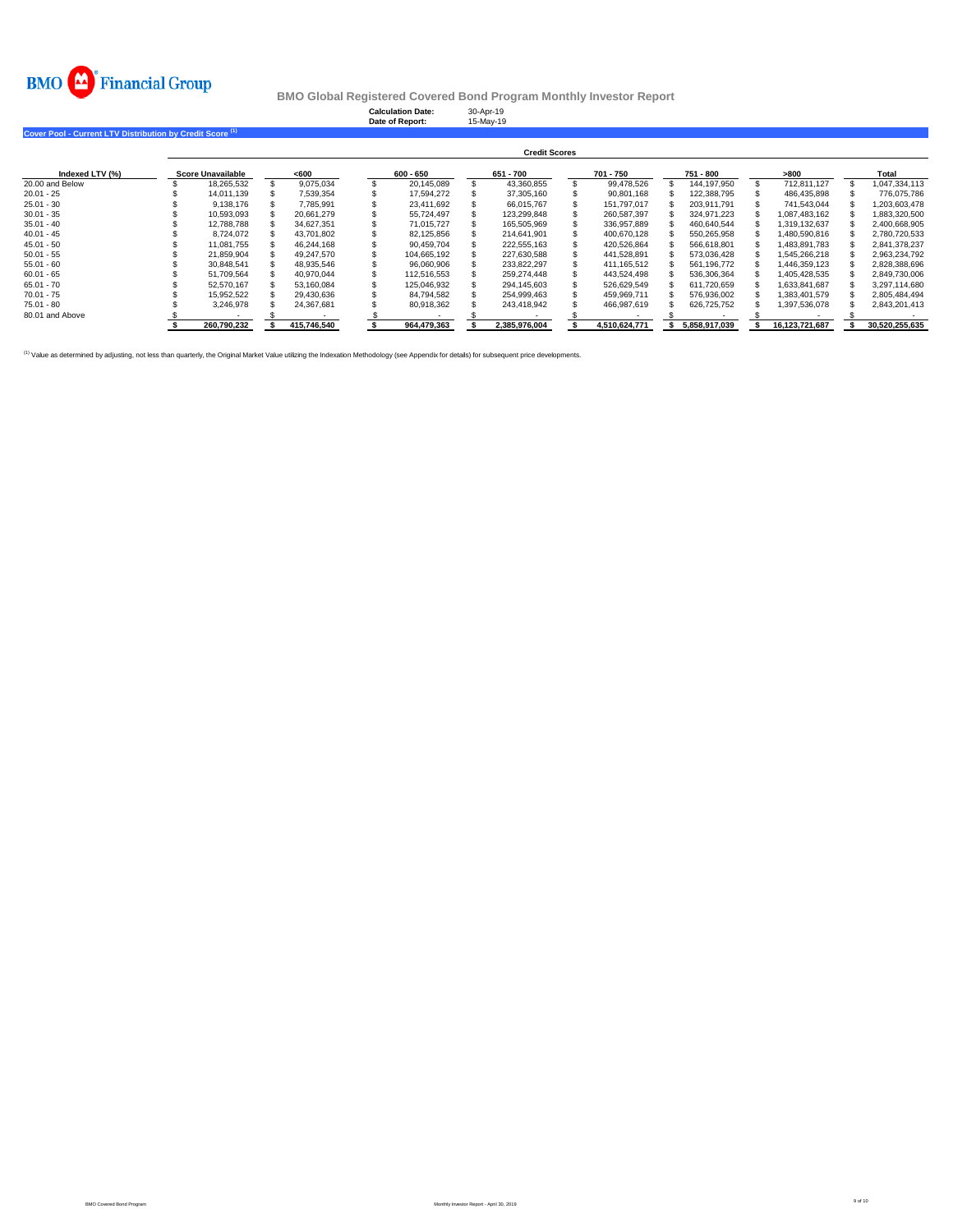

| Cover Pool - Current LTV Distribution by Credit Score <sup>(1)</sup> |                          |             | <b>Calculation Date:</b><br>Date of Report: | 30-Apr-19<br>15-May-19 |               |               |                |                |
|----------------------------------------------------------------------|--------------------------|-------------|---------------------------------------------|------------------------|---------------|---------------|----------------|----------------|
|                                                                      |                          |             |                                             | <b>Credit Scores</b>   |               |               |                |                |
| Indexed LTV (%)                                                      | <b>Score Unavailable</b> | <600        | 600 - 650                                   | 651 - 700              | 701 - 750     | 751 - 800     | >800           | Total          |
| 20.00 and Below                                                      | 18,265,532               | 9,075,034   | 20,145,089                                  | 43,360,855             | 99,478,526    | 144,197,950   | 712,811,127    | 1,047,334,113  |
| $20.01 - 25$                                                         | 14.011.139               | 7,539,354   | 17.594.272                                  | 37,305,160             | 90,801,168    | 122,388,795   | 486,435,898    | 776,075,786    |
| 25.01 - 30                                                           | 9,138,176                | 7.785.991   | 23.411.692                                  | 66.015.767             | 151.797.017   | 203.911.791   | 741,543,044    | 1,203,603,478  |
| $30.01 - 35$                                                         | 10,593,093               | 20,661,279  | 55,724,497                                  | 123,299,848            | 260,587,397   | 324,971,223   | 1,087,483,162  | 1,883,320,500  |
| $35.01 - 40$                                                         | 12.788.788               | 34.627.351  | 71.015.727                                  | 165.505.969            | 336.957.889   | 460,640,544   | 1.319.132.637  | 2,400,668,905  |
| 40.01 - 45                                                           | 8,724,072                | 43,701,802  | 82,125,856                                  | 214,641,901            | 400,670,128   | 550,265,958   | 1,480,590,816  | 2,780,720,533  |
| $45.01 - 50$                                                         | 11,081,755               | 46,244,168  | 90.459.704                                  | 222,555,163            | 420,526,864   | 566,618,801   | 1,483,891,783  | 2,841,378,237  |
| $50.01 - 55$                                                         | 21.859.904               | 49.247.570  | 104.665.192                                 | 227.630.588            | 441,528,891   | 573,036,428   | 1,545,266,218  | 2,963,234,792  |
| 55.01 - 60                                                           | 30,848,541               | 48,935,546  | 96,060,906                                  | 233.822.297            | 411, 165, 512 | 561,196,772   | 1,446,359,123  | 2,828,388,696  |
| $60.01 - 65$                                                         | 51,709,564               | 40.970.044  | 112.516.553                                 | 259.274.448            | 443.524.498   | 536,306,364   | 405,428,535    | 2,849,730,006  |
| 65.01 - 70                                                           | 52.570.167               | 53.160.084  | 125.046.932                                 | 294,145,603            | 526,629,549   | 611,720,659   | 633,841,687    | 3,297,114,680  |
| $70.01 - 75$                                                         | 15.952.522               | 29.430.636  | 84.794.582                                  | 254.999.463            | 459.969.711   | 576,936,002   | 1.383.401.579  | 2,805,484,494  |
| 75.01 - 80                                                           | 3,246,978                | 24,367,681  | 80,918,362                                  | 243,418,942            | 466,987,619   | 626,725,752   | 1,397,536,078  | 2,843,201,413  |
| 80.01 and Above                                                      |                          |             |                                             |                        |               |               |                |                |
|                                                                      | 260.790.232              | 415,746,540 | 964,479,363                                 | 2,385,976,004          | 4,510,624,771 | 5.858.917.039 | 16,123,721,687 | 30,520,255,635 |

<sup>(1)</sup> Value as determined by adjusting, not less than quarterly, the Original Market Value utilizing the Indexation Methodology (see Appendix for details) for subsequent price developments.